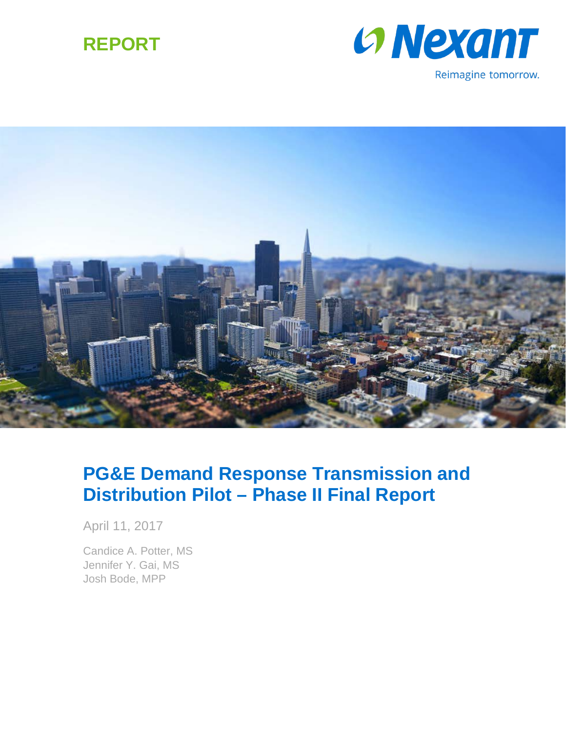





# **PG&E Demand Response Transmission and Distribution Pilot – Phase II Final Report**

April 11, 2017

Candice A. Potter, MS Jennifer Y. Gai, MS Josh Bode, MPP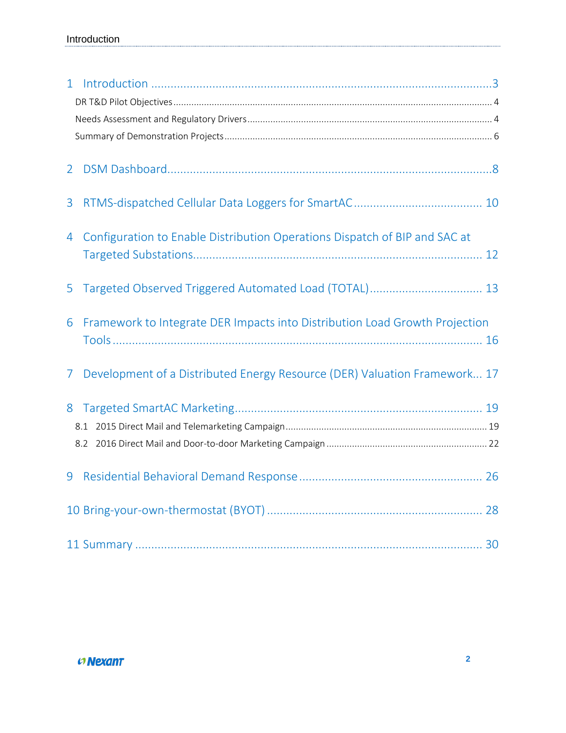| $\overline{2}$ |                                                                             |
|----------------|-----------------------------------------------------------------------------|
| 3              |                                                                             |
| 4              | Configuration to Enable Distribution Operations Dispatch of BIP and SAC at  |
| 5              |                                                                             |
| 6              | Framework to Integrate DER Impacts into Distribution Load Growth Projection |
| $\mathcal{L}$  | Development of a Distributed Energy Resource (DER) Valuation Framework 17   |
| 8              |                                                                             |
|                |                                                                             |
|                |                                                                             |
|                |                                                                             |
|                |                                                                             |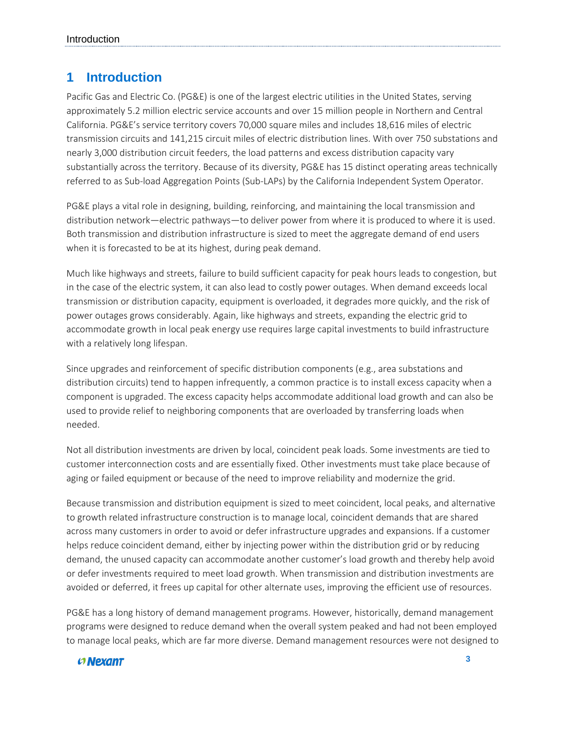## <span id="page-2-0"></span>**1 Introduction**

Pacific Gas and Electric Co. (PG&E) is one of the largest electric utilities in the United States, serving approximately 5.2 million electric service accounts and over 15 million people in Northern and Central California. PG&E's service territory covers 70,000 square miles and includes 18,616 miles of electric transmission circuits and 141,215 circuit miles of electric distribution lines. With over 750 substations and nearly 3,000 distribution circuit feeders, the load patterns and excess distribution capacity vary substantially across the territory. Because of its diversity, PG&E has 15 distinct operating areas technically referred to as Sub-load Aggregation Points (Sub-LAPs) by the California Independent System Operator.

PG&E plays a vital role in designing, building, reinforcing, and maintaining the local transmission and distribution network—electric pathways—to deliver power from where it is produced to where it is used. Both transmission and distribution infrastructure is sized to meet the aggregate demand of end users when it is forecasted to be at its highest, during peak demand.

Much like highways and streets, failure to build sufficient capacity for peak hours leads to congestion, but in the case of the electric system, it can also lead to costly power outages. When demand exceeds local transmission or distribution capacity, equipment is overloaded, it degrades more quickly, and the risk of power outages grows considerably. Again, like highways and streets, expanding the electric grid to accommodate growth in local peak energy use requires large capital investments to build infrastructure with a relatively long lifespan.

Since upgrades and reinforcement of specific distribution components (e.g., area substations and distribution circuits) tend to happen infrequently, a common practice is to install excess capacity when a component is upgraded. The excess capacity helps accommodate additional load growth and can also be used to provide relief to neighboring components that are overloaded by transferring loads when needed.

Not all distribution investments are driven by local, coincident peak loads. Some investments are tied to customer interconnection costs and are essentially fixed. Other investments must take place because of aging or failed equipment or because of the need to improve reliability and modernize the grid.

Because transmission and distribution equipment is sized to meet coincident, local peaks, and alternative to growth related infrastructure construction is to manage local, coincident demands that are shared across many customers in order to avoid or defer infrastructure upgrades and expansions. If a customer helps reduce coincident demand, either by injecting power within the distribution grid or by reducing demand, the unused capacity can accommodate another customer's load growth and thereby help avoid or defer investments required to meet load growth. When transmission and distribution investments are avoided or deferred, it frees up capital for other alternate uses, improving the efficient use of resources.

PG&E has a long history of demand management programs. However, historically, demand management programs were designed to reduce demand when the overall system peaked and had not been employed to manage local peaks, which are far more diverse. Demand management resources were not designed to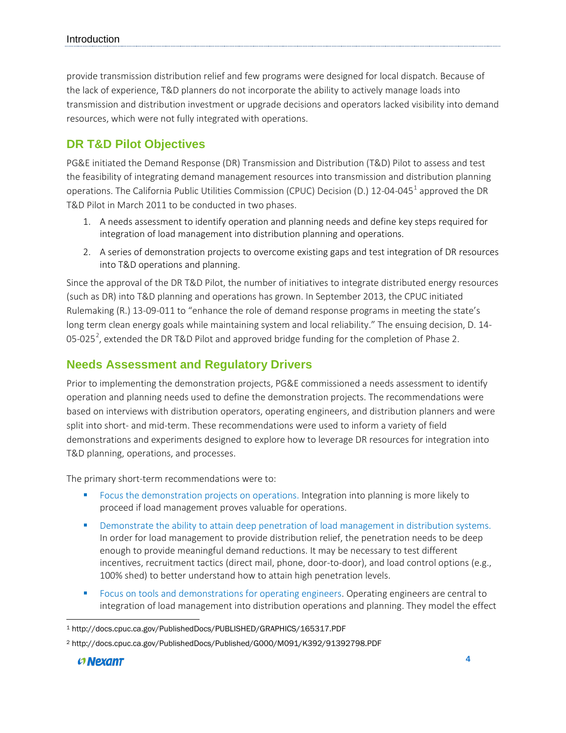provide transmission distribution relief and few programs were designed for local dispatch. Because of the lack of experience, T&D planners do not incorporate the ability to actively manage loads into transmission and distribution investment or upgrade decisions and operators lacked visibility into demand resources, which were not fully integrated with operations.

### <span id="page-3-0"></span>**DR T&D Pilot Objectives**

PG&E initiated the Demand Response (DR) Transmission and Distribution (T&D) Pilot to assess and test the feasibility of integrating demand management resources into transmission and distribution planning operations. The California Public Utilities Commission (CPUC) Decision (D.) 12-04-045[1](#page-3-2) approved the DR T&D Pilot in March 2011 to be conducted in two phases.

- 1. A needs assessment to identify operation and planning needs and define key steps required for integration of load management into distribution planning and operations.
- 2. A series of demonstration projects to overcome existing gaps and test integration of DR resources into T&D operations and planning.

Since the approval of the DR T&D Pilot, the number of initiatives to integrate distributed energy resources (such as DR) into T&D planning and operations has grown. In September 2013, the CPUC initiated Rulemaking (R.) 13-09-011 to "enhance the role of demand response programs in meeting the state's long term clean energy goals while maintaining system and local reliability." The ensuing decision, D. 14-05-0[2](#page-3-3)5<sup>2</sup>, extended the DR T&D Pilot and approved bridge funding for the completion of Phase 2.

### <span id="page-3-1"></span>**Needs Assessment and Regulatory Drivers**

Prior to implementing the demonstration projects, PG&E commissioned a needs assessment to identify operation and planning needs used to define the demonstration projects. The recommendations were based on interviews with distribution operators, operating engineers, and distribution planners and were split into short- and mid-term. These recommendations were used to inform a variety of field demonstrations and experiments designed to explore how to leverage DR resources for integration into T&D planning, operations, and processes.

The primary short-term recommendations were to:

- Focus the demonstration projects on operations. Integration into planning is more likely to proceed if load management proves valuable for operations.
- Demonstrate the ability to attain deep penetration of load management in distribution systems. In order for load management to provide distribution relief, the penetration needs to be deep enough to provide meaningful demand reductions. It may be necessary to test different incentives, recruitment tactics (direct mail, phone, door-to-door), and load control options (e.g., 100% shed) to better understand how to attain high penetration levels.
- **Figure 3** Focus on tools and demonstrations for operating engineers. Operating engineers are central to integration of load management into distribution operations and planning. They model the effect

<span id="page-3-2"></span>l <sup>1</sup> http://docs.cpuc.ca.gov/PublishedDocs/PUBLISHED/GRAPHICS/165317.PDF

<span id="page-3-3"></span><sup>2</sup> http://docs.cpuc.ca.gov/PublishedDocs/Published/G000/M091/K392/91392798.PDF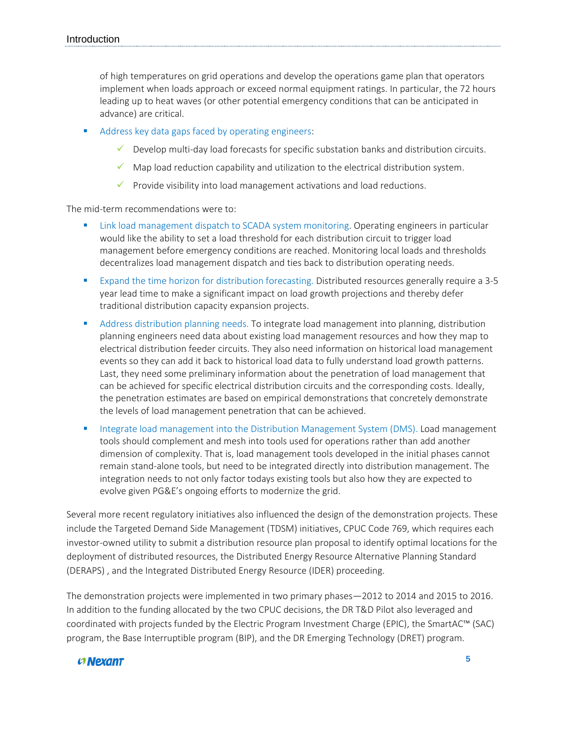of high temperatures on grid operations and develop the operations game plan that operators implement when loads approach or exceed normal equipment ratings. In particular, the 72 hours leading up to heat waves (or other potential emergency conditions that can be anticipated in advance) are critical.

- Address key data gaps faced by operating engineers:
	- $\checkmark$  Develop multi-day load forecasts for specific substation banks and distribution circuits.
	- $\checkmark$  Map load reduction capability and utilization to the electrical distribution system.
	- $\checkmark$  Provide visibility into load management activations and load reductions.

The mid-term recommendations were to:

- Link load management dispatch to SCADA system monitoring. Operating engineers in particular would like the ability to set a load threshold for each distribution circuit to trigger load management before emergency conditions are reached. Monitoring local loads and thresholds decentralizes load management dispatch and ties back to distribution operating needs.
- Expand the time horizon for distribution forecasting. Distributed resources generally require a 3-5 year lead time to make a significant impact on load growth projections and thereby defer traditional distribution capacity expansion projects.
- **Address distribution planning needs. To integrate load management into planning, distribution** planning engineers need data about existing load management resources and how they map to electrical distribution feeder circuits. They also need information on historical load management events so they can add it back to historical load data to fully understand load growth patterns. Last, they need some preliminary information about the penetration of load management that can be achieved for specific electrical distribution circuits and the corresponding costs. Ideally, the penetration estimates are based on empirical demonstrations that concretely demonstrate the levels of load management penetration that can be achieved.
- Integrate load management into the Distribution Management System (DMS). Load management tools should complement and mesh into tools used for operations rather than add another dimension of complexity. That is, load management tools developed in the initial phases cannot remain stand-alone tools, but need to be integrated directly into distribution management. The integration needs to not only factor todays existing tools but also how they are expected to evolve given PG&E's ongoing efforts to modernize the grid.

Several more recent regulatory initiatives also influenced the design of the demonstration projects. These include the Targeted Demand Side Management (TDSM) initiatives, CPUC Code 769, which requires each investor-owned utility to submit a distribution resource plan proposal to identify optimal locations for the deployment of distributed resources, the Distributed Energy Resource Alternative Planning Standard (DERAPS) , and the Integrated Distributed Energy Resource (IDER) proceeding.

The demonstration projects were implemented in two primary phases—2012 to 2014 and 2015 to 2016. In addition to the funding allocated by the two CPUC decisions, the DR T&D Pilot also leveraged and coordinated with projects funded by the Electric Program Investment Charge (EPIC), the SmartAC™ (SAC) program, the Base Interruptible program (BIP), and the DR Emerging Technology (DRET) program.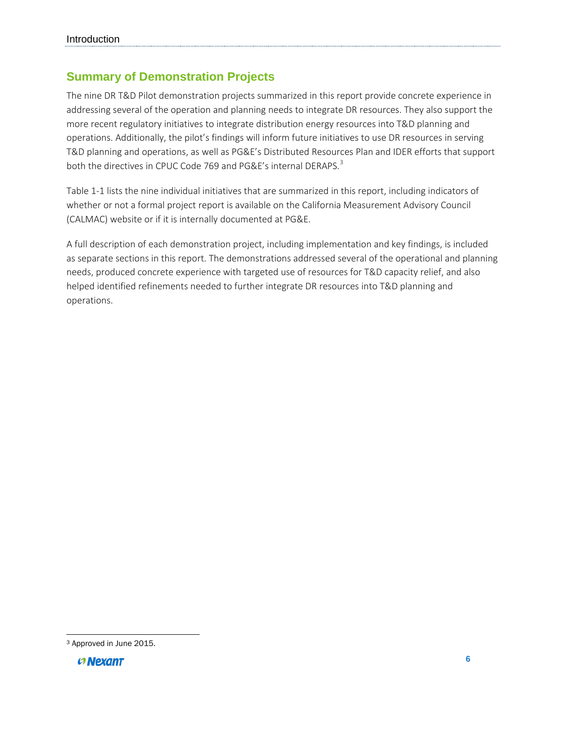## <span id="page-5-0"></span>**Summary of Demonstration Projects**

The nine DR T&D Pilot demonstration projects summarized in this report provide concrete experience in addressing several of the operation and planning needs to integrate DR resources. They also support the more recent regulatory initiatives to integrate distribution energy resources into T&D planning and operations. Additionally, the pilot's findings will inform future initiatives to use DR resources in serving T&D planning and operations, as well as PG&E's Distributed Resources Plan and IDER efforts that support both the directives in CPUC Code 769 and PG&E's internal DERAPS.<sup>[3](#page-5-1)</sup>

[Table 1-1](#page-6-0) lists the nine individual initiatives that are summarized in this report, including indicators of whether or not a formal project report is available on the California Measurement Advisory Council (CALMAC) website or if it is internally documented at PG&E.

A full description of each demonstration project, including implementation and key findings, is included as separate sections in this report. The demonstrations addressed several of the operational and planning needs, produced concrete experience with targeted use of resources for T&D capacity relief, and also helped identified refinements needed to further integrate DR resources into T&D planning and operations.

<span id="page-5-1"></span>l <sup>3</sup> Approved in June 2015.

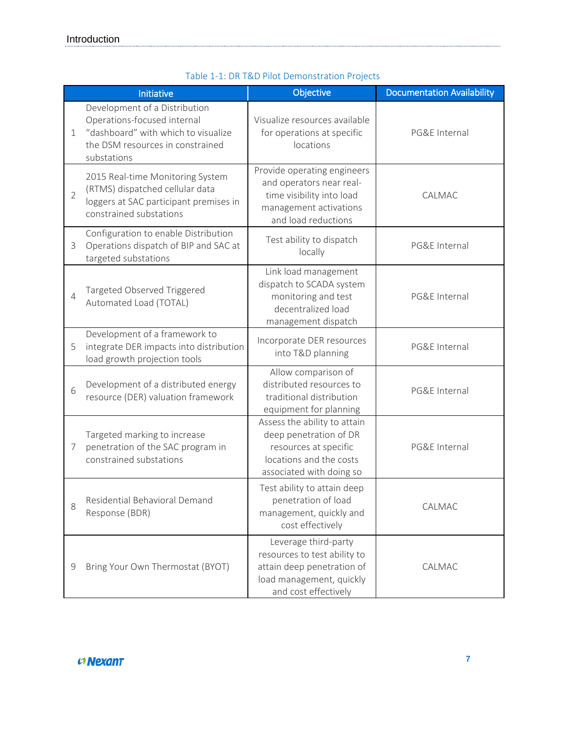<span id="page-6-0"></span>

|                | Initiative                                                                                                                                             | Objective                                                                                                                              | <b>Documentation Availability</b> |
|----------------|--------------------------------------------------------------------------------------------------------------------------------------------------------|----------------------------------------------------------------------------------------------------------------------------------------|-----------------------------------|
| $\mathbf 1$    | Development of a Distribution<br>Operations-focused internal<br>"dashboard" with which to visualize<br>the DSM resources in constrained<br>substations | Visualize resources available<br>for operations at specific<br>locations                                                               | PG&E Internal                     |
| $\overline{2}$ | 2015 Real-time Monitoring System<br>(RTMS) dispatched cellular data<br>loggers at SAC participant premises in<br>constrained substations               | Provide operating engineers<br>and operators near real-<br>time visibility into load<br>management activations<br>and load reductions  | CALMAC                            |
| 3              | Configuration to enable Distribution<br>Operations dispatch of BIP and SAC at<br>targeted substations                                                  | Test ability to dispatch<br>locally                                                                                                    | PG&E Internal                     |
| 4              | Targeted Observed Triggered<br>Automated Load (TOTAL)                                                                                                  | Link load management<br>dispatch to SCADA system<br>monitoring and test<br>decentralized load<br>management dispatch                   | PG&E Internal                     |
| 5              | Development of a framework to<br>integrate DER impacts into distribution<br>load growth projection tools                                               | Incorporate DER resources<br>into T&D planning                                                                                         | PG&E Internal                     |
| 6              | Development of a distributed energy<br>resource (DER) valuation framework                                                                              | Allow comparison of<br>distributed resources to<br>traditional distribution<br>equipment for planning                                  | PG&E Internal                     |
| 7              | Targeted marking to increase<br>penetration of the SAC program in<br>constrained substations                                                           | Assess the ability to attain<br>deep penetration of DR<br>resources at specific<br>locations and the costs<br>associated with doing so | PG&E Internal                     |
| 8              | Residential Behavioral Demand<br>Response (BDR)                                                                                                        | Test ability to attain deep<br>penetration of load<br>management, quickly and<br>cost effectively                                      | CALMAC                            |
| 9              | Bring Your Own Thermostat (BYOT)                                                                                                                       | Leverage third-party<br>resources to test ability to<br>attain deep penetration of<br>load management, quickly<br>and cost effectively | CALMAC                            |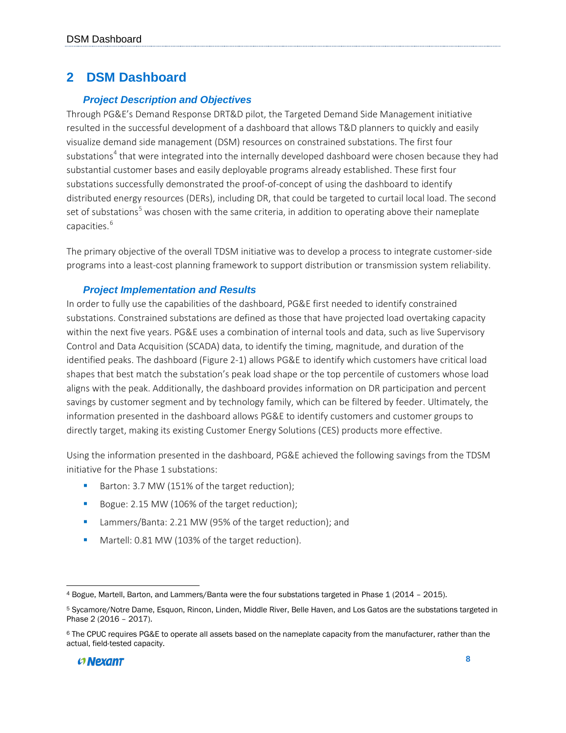## <span id="page-7-0"></span>**2 DSM Dashboard**

#### *Project Description and Objectives*

Through PG&E's Demand Response DRT&D pilot, the Targeted Demand Side Management initiative resulted in the successful development of a dashboard that allows T&D planners to quickly and easily visualize demand side management (DSM) resources on constrained substations. The first four substations<sup>[4](#page-7-1)</sup> that were integrated into the internally developed dashboard were chosen because they had substantial customer bases and easily deployable programs already established. These first four substations successfully demonstrated the proof-of-concept of using the dashboard to identify distributed energy resources (DERs), including DR, that could be targeted to curtail local load. The second set of substations<sup>[5](#page-7-2)</sup> was chosen with the same criteria, in addition to operating above their nameplate capacities.<sup>[6](#page-7-3)</sup>

The primary objective of the overall TDSM initiative was to develop a process to integrate customer-side programs into a least-cost planning framework to support distribution or transmission system reliability.

#### *Project Implementation and Results*

In order to fully use the capabilities of the dashboard, PG&E first needed to identify constrained substations. Constrained substations are defined as those that have projected load overtaking capacity within the next five years. PG&E uses a combination of internal tools and data, such as live Supervisory Control and Data Acquisition (SCADA) data, to identify the timing, magnitude, and duration of the identified peaks. The dashboard [\(Figure 2-1\)](#page-8-0) allows PG&E to identify which customers have critical load shapes that best match the substation's peak load shape or the top percentile of customers whose load aligns with the peak. Additionally, the dashboard provides information on DR participation and percent savings by customer segment and by technology family, which can be filtered by feeder. Ultimately, the information presented in the dashboard allows PG&E to identify customers and customer groups to directly target, making its existing Customer Energy Solutions (CES) products more effective.

Using the information presented in the dashboard, PG&E achieved the following savings from the TDSM initiative for the Phase 1 substations:

- Barton: 3.7 MW (151% of the target reduction);
- Bogue: 2.15 MW (106% of the target reduction);
- **Lammers/Banta: 2.21 MW (95% of the target reduction); and**
- Martell: 0.81 MW (103% of the target reduction).

<span id="page-7-1"></span> $\overline{\phantom{a}}$ <sup>4</sup> Bogue, Martell, Barton, and Lammers/Banta were the four substations targeted in Phase 1 (2014 – 2015).

<span id="page-7-2"></span><sup>5</sup> Sycamore/Notre Dame, Esquon, Rincon, Linden, Middle River, Belle Haven, and Los Gatos are the substations targeted in Phase 2 (2016 – 2017).

<span id="page-7-3"></span><sup>6</sup> The CPUC requires PG&E to operate all assets based on the nameplate capacity from the manufacturer, rather than the actual, field-tested capacity.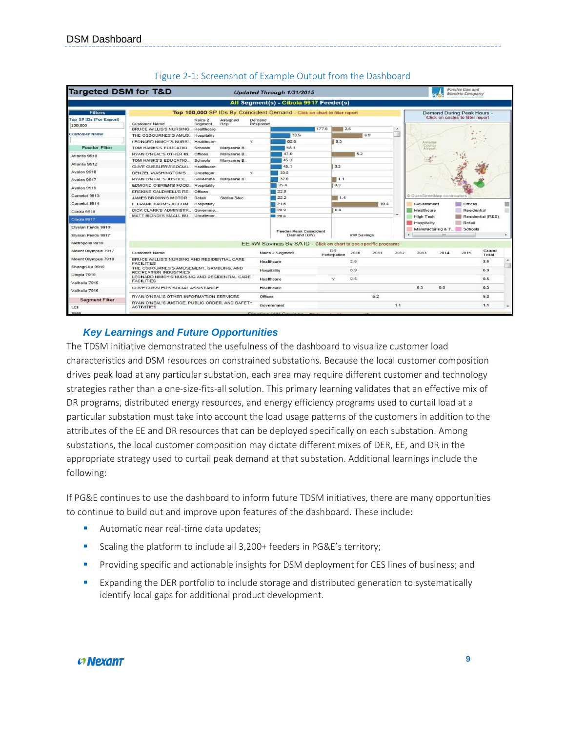<span id="page-8-0"></span>

| <b>Targeted DSM for T&amp;D</b> |                                                                                               |                            |          | Updated Through 1/31/2015                                                 |       |                           |            |      |                          |                                 |                    | Pacific Gas and<br><b>Electric Company</b> |                   |  |
|---------------------------------|-----------------------------------------------------------------------------------------------|----------------------------|----------|---------------------------------------------------------------------------|-------|---------------------------|------------|------|--------------------------|---------------------------------|--------------------|--------------------------------------------|-------------------|--|
|                                 |                                                                                               |                            |          | All Segment(s) - Cibola 9917 Feeder(s)                                    |       |                           |            |      |                          |                                 |                    |                                            |                   |  |
| <b>Filters</b>                  |                                                                                               |                            |          | Top 100,000 SP IDs By Coincident Demand - Click on chart to filter report |       |                           |            |      |                          |                                 |                    | <b>Demand During Peak Hours</b>            |                   |  |
| <b>Top SP IDs (For Export)</b>  | Naics <sub>2</sub>                                                                            | Assigned                   | Demand   |                                                                           |       |                           |            |      |                          |                                 |                    | Click on circles to filter report          |                   |  |
| 100,000                         | <b>Customer Name</b><br>Segment                                                               | Rep                        | Response |                                                                           | 177.6 |                           |            |      | $\overline{\phantom{a}}$ |                                 |                    |                                            |                   |  |
| <b>Customer Name</b>            | BRUCE WILLIS'S NURSING Healthcare                                                             |                            |          | 79.5                                                                      |       | 2.6                       |            | 6.9  |                          |                                 |                    |                                            |                   |  |
|                                 | THE OSBOURNES'S AMUS Hospitality<br>LEONARD NIMOY'S NURSI                                     |                            | v        | 62.8                                                                      |       | 0.5                       |            |      |                          |                                 |                    |                                            |                   |  |
| <b>Feeder Filter</b>            | TOM HANKS'S EDUCATIO.<br>Schools                                                              | Healthcare                 |          | 58.1                                                                      |       |                           |            |      |                          | Amador<br>County                |                    |                                            |                   |  |
|                                 | RYAN O'NEAL'S OTHER IN., Offices                                                              | Maryanne B.<br>Maryanne B. |          | 47.0                                                                      |       |                           | 5.2        |      |                          | Airport                         |                    |                                            |                   |  |
| Atlantis 9910                   | TOM HANKS'S EDUCATIO<br>Schools                                                               | Marvanne B.                |          | 45.3                                                                      |       |                           |            |      |                          | $\frac{1}{\sigma_{\rm{B}}^2}$ . |                    |                                            |                   |  |
| Atlantis 9912                   | CLIVE CUSSLER'S SOCIAL. Healthcare                                                            |                            |          | 45.1                                                                      |       | 0.3                       |            |      |                          |                                 |                    |                                            |                   |  |
| Avalon 9910                     | DENZEL WASHINGTON'S  Uncategor                                                                |                            | v        | 33.5                                                                      |       |                           |            |      |                          |                                 |                    |                                            |                   |  |
|                                 | RYAN O'NEAL'S JUSTICE Governme Maryanne B.                                                    |                            |          | 32.0                                                                      |       | 1.1                       |            |      |                          |                                 |                    |                                            |                   |  |
| Avalon 9917                     | EDMOND O'BRIEN'S FOOD Hospitality                                                             |                            |          | 25.4                                                                      |       | 0.3                       |            |      |                          |                                 |                    |                                            |                   |  |
| Avalon 9919                     | ERSKINE CALDWELL'S RE. Offices                                                                |                            |          | 22.9                                                                      |       |                           |            |      |                          |                                 |                    |                                            |                   |  |
| Camelot 9913                    | JAMES BROWN'S MOTOR Retail                                                                    | Stefan Stoc.               |          | 22.2                                                                      |       | 1.4                       |            |      |                          | @ OpenStreetMap contributors    |                    |                                            |                   |  |
| Camelot 9914                    | L. FRANK BAUM'S ACCOM Hospitality                                                             |                            |          | 21.6                                                                      |       |                           |            | 10.4 |                          | Government                      |                    | m<br>Offices                               |                   |  |
| Cibola 9910                     | DICK CLARK'S ADMINISTR., Governme.                                                            |                            |          | 20.9                                                                      |       | 0.4                       |            |      |                          | Healthcare                      |                    | Residential                                |                   |  |
|                                 | MATT BIONDI'S SMALL BU., Uncategor.                                                           |                            |          | 图 20.6                                                                    |       |                           |            |      | $\overline{\phantom{a}}$ | High Tech                       |                    |                                            | Residential (RES) |  |
| Cibola 9917                     |                                                                                               |                            |          |                                                                           |       |                           |            |      |                          | Hospitality                     |                    | Retail                                     |                   |  |
| Elvsian Fields 9910             |                                                                                               |                            |          |                                                                           |       |                           |            |      |                          |                                 | Manufacturing & T. | Schools                                    |                   |  |
| Elvsian Fields 9917             |                                                                                               |                            |          | <b>Feeder Peak Coincident</b><br>Demand (kW)                              |       |                           | kW Savings |      |                          |                                 |                    |                                            |                   |  |
| Metropolis 9919                 |                                                                                               |                            |          | EE kW Savings By SAID - Click on chart to see specific programs           |       |                           |            |      |                          |                                 |                    |                                            |                   |  |
| Mount Olympus 7917              | Customer Name                                                                                 |                            |          | Naics 2 Segment                                                           |       | <b>DR</b><br>Particpation | 2010       | 2011 | 2012                     | 2013                            | 2014               | 2015                                       | Grand<br>Total    |  |
| Mount Olympus 7919              | BRUCE WILLIS'S NURSING AND RESIDENTIAL CARE                                                   |                            |          | Healthcare                                                                |       |                           | 26         |      |                          |                                 |                    |                                            | 2.6               |  |
| Shangri-La 9919                 | <b>FACILITIES</b><br>THE OSBOURNES'S AMUSEMENT, GAMBLING, AND<br><b>RECREATION INDUSTRIES</b> |                            |          | Hospitality                                                               |       |                           | 6.9        |      |                          |                                 |                    |                                            | 6.9               |  |
| Utopia 7919                     | LEONARD NIMOY'S NURSING AND RESIDENTIAL CARE                                                  |                            |          |                                                                           |       |                           |            |      |                          |                                 |                    |                                            |                   |  |
| Valhalla 7915                   | <b>FACILITIES</b>                                                                             |                            |          | Healthcare                                                                |       | ×                         | 0.5        |      |                          |                                 |                    |                                            | 0.5               |  |
| Valhalla 7916                   | CLIVE CUSSLER'S SOCIAL ASSISTANCE                                                             |                            |          | Healthcare                                                                |       |                           |            |      |                          | 0.3                             | 0.0                |                                            | 0.3               |  |
| <b>Segment Filter</b>           | RYAN O'NEAL'S OTHER INFORMATION SERVICES<br>RYAN O'NEAL'S JUSTICE, PUBLIC ORDER, AND SAFETY   |                            | Offices  |                                                                           |       |                           |            | 5.2  |                          |                                 |                    |                                            | 5.2               |  |
| LCI                             | <b>ACTIVITIES</b>                                                                             |                            |          | Government                                                                |       |                           |            |      | 1.1                      |                                 |                    |                                            | 1.1               |  |
| CASD                            |                                                                                               |                            |          | Fifth and Figure 11, 1984. The contract was                               |       |                           |            |      |                          |                                 |                    |                                            |                   |  |

#### Figure 2-1: Screenshot of Example Output from the Dashboard

#### *Key Learnings and Future Opportunities*

The TDSM initiative demonstrated the usefulness of the dashboard to visualize customer load characteristics and DSM resources on constrained substations. Because the local customer composition drives peak load at any particular substation, each area may require different customer and technology strategies rather than a one-size-fits-all solution. This primary learning validates that an effective mix of DR programs, distributed energy resources, and energy efficiency programs used to curtail load at a particular substation must take into account the load usage patterns of the customers in addition to the attributes of the EE and DR resources that can be deployed specifically on each substation. Among substations, the local customer composition may dictate different mixes of DER, EE, and DR in the appropriate strategy used to curtail peak demand at that substation. Additional learnings include the following:

If PG&E continues to use the dashboard to inform future TDSM initiatives, there are many opportunities to continue to build out and improve upon features of the dashboard. These include:

- Automatic near real-time data updates;
- Scaling the platform to include all 3,200+ feeders in PG&E's territory;
- **Providing specific and actionable insights for DSM deployment for CES lines of business; and**
- **Expanding the DER portfolio to include storage and distributed generation to systematically** identify local gaps for additional product development.

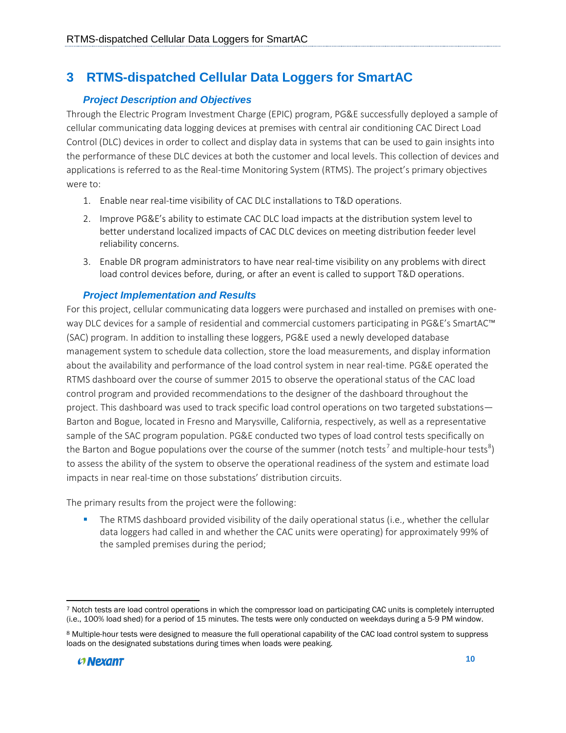## <span id="page-9-0"></span>**3 RTMS-dispatched Cellular Data Loggers for SmartAC**

### *Project Description and Objectives*

Through the Electric Program Investment Charge (EPIC) program, PG&E successfully deployed a sample of cellular communicating data logging devices at premises with central air conditioning CAC Direct Load Control (DLC) devices in order to collect and display data in systems that can be used to gain insights into the performance of these DLC devices at both the customer and local levels. This collection of devices and applications is referred to as the Real-time Monitoring System (RTMS). The project's primary objectives were to:

- 1. Enable near real-time visibility of CAC DLC installations to T&D operations.
- 2. Improve PG&E's ability to estimate CAC DLC load impacts at the distribution system level to better understand localized impacts of CAC DLC devices on meeting distribution feeder level reliability concerns.
- 3. Enable DR program administrators to have near real-time visibility on any problems with direct load control devices before, during, or after an event is called to support T&D operations.

#### *Project Implementation and Results*

For this project, cellular communicating data loggers were purchased and installed on premises with oneway DLC devices for a sample of residential and commercial customers participating in PG&E's SmartAC™ (SAC) program. In addition to installing these loggers, PG&E used a newly developed database management system to schedule data collection, store the load measurements, and display information about the availability and performance of the load control system in near real-time. PG&E operated the RTMS dashboard over the course of summer 2015 to observe the operational status of the CAC load control program and provided recommendations to the designer of the dashboard throughout the project. This dashboard was used to track specific load control operations on two targeted substations— Barton and Bogue, located in Fresno and Marysville, California, respectively, as well as a representative sample of the SAC program population. PG&E conducted two types of load control tests specifically on the Barton and Bogue populations over the course of the summer (notch tests<sup>[7](#page-9-1)</sup> and multiple-hour tests<sup>[8](#page-9-2)</sup>) to assess the ability of the system to observe the operational readiness of the system and estimate load impacts in near real-time on those substations' distribution circuits.

The primary results from the project were the following:

The RTMS dashboard provided visibility of the daily operational status (i.e., whether the cellular data loggers had called in and whether the CAC units were operating) for approximately 99% of the sampled premises during the period;

<span id="page-9-2"></span><sup>8</sup> Multiple-hour tests were designed to measure the full operational capability of the CAC load control system to suppress loads on the designated substations during times when loads were peaking.



<span id="page-9-1"></span> $\overline{\phantom{a}}$ <sup>7</sup> Notch tests are load control operations in which the compressor load on participating CAC units is completely interrupted (i.e., 100% load shed) for a period of 15 minutes. The tests were only conducted on weekdays during a 5-9 PM window.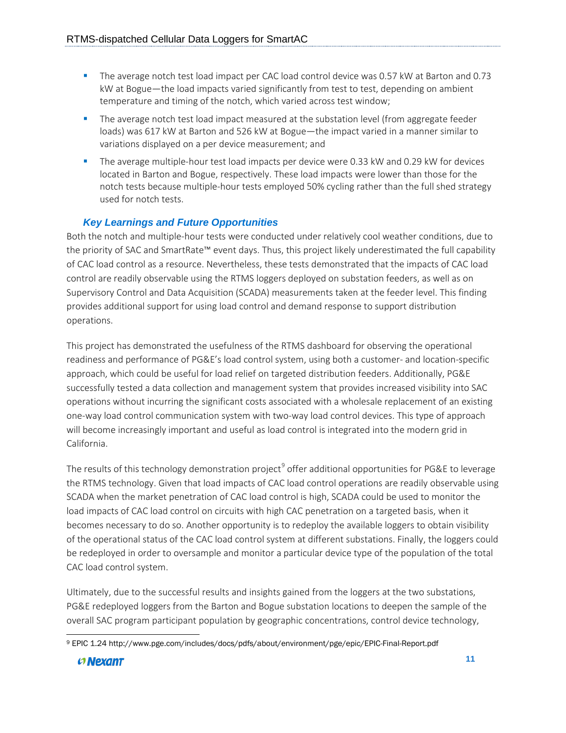- The average notch test load impact per CAC load control device was 0.57 kW at Barton and 0.73 kW at Bogue—the load impacts varied significantly from test to test, depending on ambient temperature and timing of the notch, which varied across test window;
- The average notch test load impact measured at the substation level (from aggregate feeder loads) was 617 kW at Barton and 526 kW at Bogue—the impact varied in a manner similar to variations displayed on a per device measurement; and
- The average multiple-hour test load impacts per device were 0.33 kW and 0.29 kW for devices located in Barton and Bogue, respectively. These load impacts were lower than those for the notch tests because multiple-hour tests employed 50% cycling rather than the full shed strategy used for notch tests.

#### *Key Learnings and Future Opportunities*

Both the notch and multiple-hour tests were conducted under relatively cool weather conditions, due to the priority of SAC and SmartRate™ event days. Thus, this project likely underestimated the full capability of CAC load control as a resource. Nevertheless, these tests demonstrated that the impacts of CAC load control are readily observable using the RTMS loggers deployed on substation feeders, as well as on Supervisory Control and Data Acquisition (SCADA) measurements taken at the feeder level. This finding provides additional support for using load control and demand response to support distribution operations.

This project has demonstrated the usefulness of the RTMS dashboard for observing the operational readiness and performance of PG&E's load control system, using both a customer- and location-specific approach, which could be useful for load relief on targeted distribution feeders. Additionally, PG&E successfully tested a data collection and management system that provides increased visibility into SAC operations without incurring the significant costs associated with a wholesale replacement of an existing one-way load control communication system with two-way load control devices. This type of approach will become increasingly important and useful as load control is integrated into the modern grid in California.

The results of this technology demonstration project<sup>[9](#page-10-0)</sup> offer additional opportunities for PG&E to leverage the RTMS technology. Given that load impacts of CAC load control operations are readily observable using SCADA when the market penetration of CAC load control is high, SCADA could be used to monitor the load impacts of CAC load control on circuits with high CAC penetration on a targeted basis, when it becomes necessary to do so. Another opportunity is to redeploy the available loggers to obtain visibility of the operational status of the CAC load control system at different substations. Finally, the loggers could be redeployed in order to oversample and monitor a particular device type of the population of the total CAC load control system.

Ultimately, due to the successful results and insights gained from the loggers at the two substations, PG&E redeployed loggers from the Barton and Bogue substation locations to deepen the sample of the overall SAC program participant population by geographic concentrations, control device technology,

<span id="page-10-0"></span>l <sup>9</sup> EPIC 1.24 http://www.pge.com/includes/docs/pdfs/about/environment/pge/epic/EPIC-Final-Report.pdf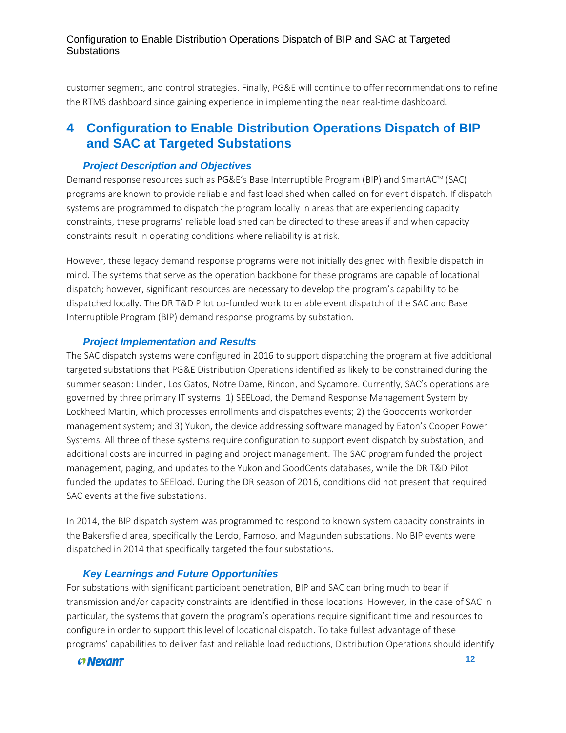customer segment, and control strategies. Finally, PG&E will continue to offer recommendations to refine the RTMS dashboard since gaining experience in implementing the near real-time dashboard.

## <span id="page-11-0"></span>**4 Configuration to Enable Distribution Operations Dispatch of BIP and SAC at Targeted Substations**

#### *Project Description and Objectives*

Demand response resources such as PG&E's Base Interruptible Program (BIP) and SmartAC™ (SAC) programs are known to provide reliable and fast load shed when called on for event dispatch. If dispatch systems are programmed to dispatch the program locally in areas that are experiencing capacity constraints, these programs' reliable load shed can be directed to these areas if and when capacity constraints result in operating conditions where reliability is at risk.

However, these legacy demand response programs were not initially designed with flexible dispatch in mind. The systems that serve as the operation backbone for these programs are capable of locational dispatch; however, significant resources are necessary to develop the program's capability to be dispatched locally. The DR T&D Pilot co-funded work to enable event dispatch of the SAC and Base Interruptible Program (BIP) demand response programs by substation.

#### *Project Implementation and Results*

The SAC dispatch systems were configured in 2016 to support dispatching the program at five additional targeted substations that PG&E Distribution Operations identified as likely to be constrained during the summer season: Linden, Los Gatos, Notre Dame, Rincon, and Sycamore. Currently, SAC's operations are governed by three primary IT systems: 1) SEELoad, the Demand Response Management System by Lockheed Martin, which processes enrollments and dispatches events; 2) the Goodcents workorder management system; and 3) Yukon, the device addressing software managed by Eaton's Cooper Power Systems. All three of these systems require configuration to support event dispatch by substation, and additional costs are incurred in paging and project management. The SAC program funded the project management, paging, and updates to the Yukon and GoodCents databases, while the DR T&D Pilot funded the updates to SEEload. During the DR season of 2016, conditions did not present that required SAC events at the five substations.

In 2014, the BIP dispatch system was programmed to respond to known system capacity constraints in the Bakersfield area, specifically the Lerdo, Famoso, and Magunden substations. No BIP events were dispatched in 2014 that specifically targeted the four substations.

#### *Key Learnings and Future Opportunities*

For substations with significant participant penetration, BIP and SAC can bring much to bear if transmission and/or capacity constraints are identified in those locations. However, in the case of SAC in particular, the systems that govern the program's operations require significant time and resources to configure in order to support this level of locational dispatch. To take fullest advantage of these programs' capabilities to deliver fast and reliable load reductions, Distribution Operations should identify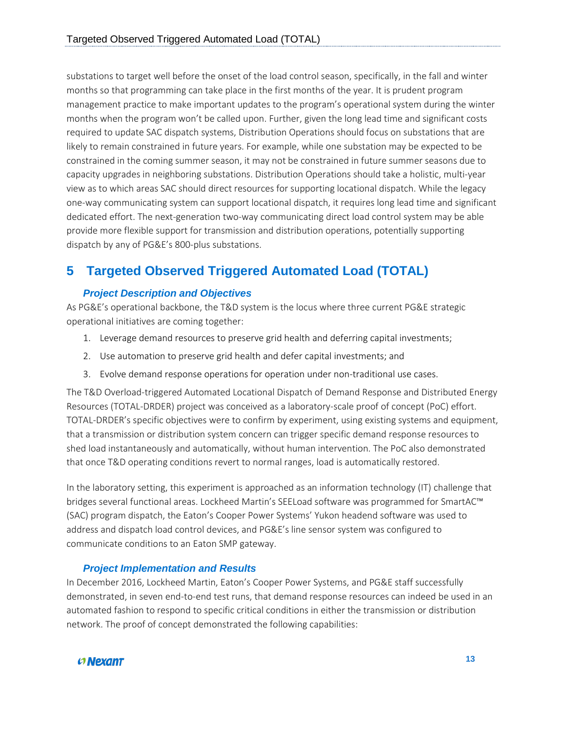substations to target well before the onset of the load control season, specifically, in the fall and winter months so that programming can take place in the first months of the year. It is prudent program management practice to make important updates to the program's operational system during the winter months when the program won't be called upon. Further, given the long lead time and significant costs required to update SAC dispatch systems, Distribution Operations should focus on substations that are likely to remain constrained in future years. For example, while one substation may be expected to be constrained in the coming summer season, it may not be constrained in future summer seasons due to capacity upgrades in neighboring substations. Distribution Operations should take a holistic, multi-year view as to which areas SAC should direct resources for supporting locational dispatch. While the legacy one-way communicating system can support locational dispatch, it requires long lead time and significant dedicated effort. The next-generation two-way communicating direct load control system may be able provide more flexible support for transmission and distribution operations, potentially supporting dispatch by any of PG&E's 800-plus substations.

## <span id="page-12-0"></span>**5 Targeted Observed Triggered Automated Load (TOTAL)**

#### *Project Description and Objectives*

As PG&E's operational backbone, the T&D system is the locus where three current PG&E strategic operational initiatives are coming together:

- 1. Leverage demand resources to preserve grid health and deferring capital investments;
- 2. Use automation to preserve grid health and defer capital investments; and
- 3. Evolve demand response operations for operation under non-traditional use cases.

The T&D Overload-triggered Automated Locational Dispatch of Demand Response and Distributed Energy Resources (TOTAL-DRDER) project was conceived as a laboratory-scale proof of concept (PoC) effort. TOTAL-DRDER's specific objectives were to confirm by experiment, using existing systems and equipment, that a transmission or distribution system concern can trigger specific demand response resources to shed load instantaneously and automatically, without human intervention. The PoC also demonstrated that once T&D operating conditions revert to normal ranges, load is automatically restored.

In the laboratory setting, this experiment is approached as an information technology (IT) challenge that bridges several functional areas. Lockheed Martin's SEELoad software was programmed for SmartAC™ (SAC) program dispatch, the Eaton's Cooper Power Systems' Yukon headend software was used to address and dispatch load control devices, and PG&E's line sensor system was configured to communicate conditions to an Eaton SMP gateway.

#### *Project Implementation and Results*

In December 2016, Lockheed Martin, Eaton's Cooper Power Systems, and PG&E staff successfully demonstrated, in seven end-to-end test runs, that demand response resources can indeed be used in an automated fashion to respond to specific critical conditions in either the transmission or distribution network. The proof of concept demonstrated the following capabilities:

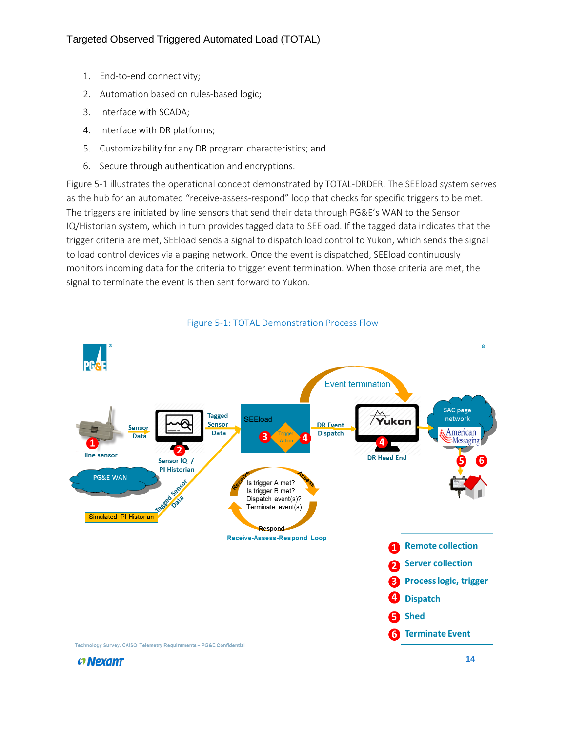- 1. End-to-end connectivity;
- 2. Automation based on rules-based logic;
- 3. Interface with SCADA;
- 4. Interface with DR platforms;
- 5. Customizability for any DR program characteristics; and
- 6. Secure through authentication and encryptions.

[Figure 5-1](#page-13-0) illustrates the operational concept demonstrated by TOTAL-DRDER. The SEEload system serves as the hub for an automated "receive-assess-respond" loop that checks for specific triggers to be met. The triggers are initiated by line sensors that send their data through PG&E's WAN to the Sensor IQ/Historian system, which in turn provides tagged data to SEEload. If the tagged data indicates that the trigger criteria are met, SEEload sends a signal to dispatch load control to Yukon, which sends the signal to load control devices via a paging network. Once the event is dispatched, SEEload continuously monitors incoming data for the criteria to trigger event termination. When those criteria are met, the signal to terminate the event is then sent forward to Yukon.

<span id="page-13-0"></span>

Figure 5-1: TOTAL Demonstration Process Flow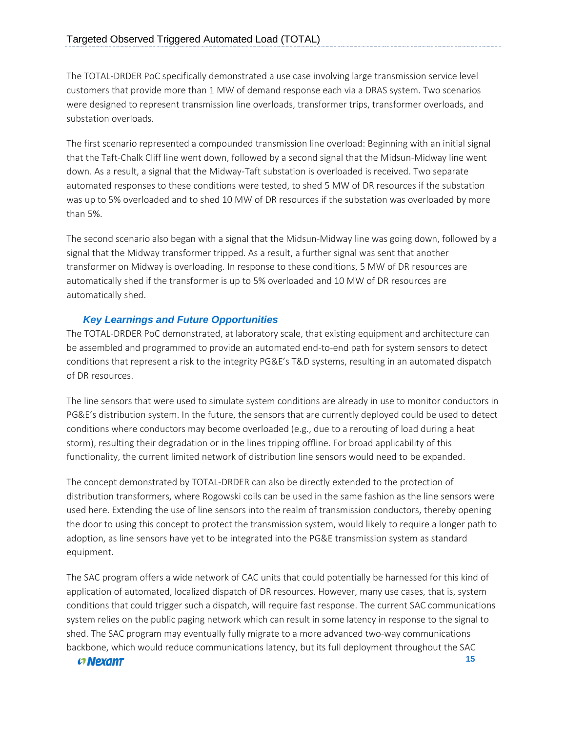The TOTAL-DRDER PoC specifically demonstrated a use case involving large transmission service level customers that provide more than 1 MW of demand response each via a DRAS system. Two scenarios were designed to represent transmission line overloads, transformer trips, transformer overloads, and substation overloads.

The first scenario represented a compounded transmission line overload: Beginning with an initial signal that the Taft-Chalk Cliff line went down, followed by a second signal that the Midsun-Midway line went down. As a result, a signal that the Midway-Taft substation is overloaded is received. Two separate automated responses to these conditions were tested, to shed 5 MW of DR resources if the substation was up to 5% overloaded and to shed 10 MW of DR resources if the substation was overloaded by more than 5%.

The second scenario also began with a signal that the Midsun-Midway line was going down, followed by a signal that the Midway transformer tripped. As a result, a further signal was sent that another transformer on Midway is overloading. In response to these conditions, 5 MW of DR resources are automatically shed if the transformer is up to 5% overloaded and 10 MW of DR resources are automatically shed.

#### *Key Learnings and Future Opportunities*

The TOTAL-DRDER PoC demonstrated, at laboratory scale, that existing equipment and architecture can be assembled and programmed to provide an automated end-to-end path for system sensors to detect conditions that represent a risk to the integrity PG&E's T&D systems, resulting in an automated dispatch of DR resources.

The line sensors that were used to simulate system conditions are already in use to monitor conductors in PG&E's distribution system. In the future, the sensors that are currently deployed could be used to detect conditions where conductors may become overloaded (e.g., due to a rerouting of load during a heat storm), resulting their degradation or in the lines tripping offline. For broad applicability of this functionality, the current limited network of distribution line sensors would need to be expanded.

The concept demonstrated by TOTAL-DRDER can also be directly extended to the protection of distribution transformers, where Rogowski coils can be used in the same fashion as the line sensors were used here. Extending the use of line sensors into the realm of transmission conductors, thereby opening the door to using this concept to protect the transmission system, would likely to require a longer path to adoption, as line sensors have yet to be integrated into the PG&E transmission system as standard equipment.

The SAC program offers a wide network of CAC units that could potentially be harnessed for this kind of application of automated, localized dispatch of DR resources. However, many use cases, that is, system conditions that could trigger such a dispatch, will require fast response. The current SAC communications system relies on the public paging network which can result in some latency in response to the signal to shed. The SAC program may eventually fully migrate to a more advanced two-way communications backbone, which would reduce communications latency, but its full deployment throughout the SAC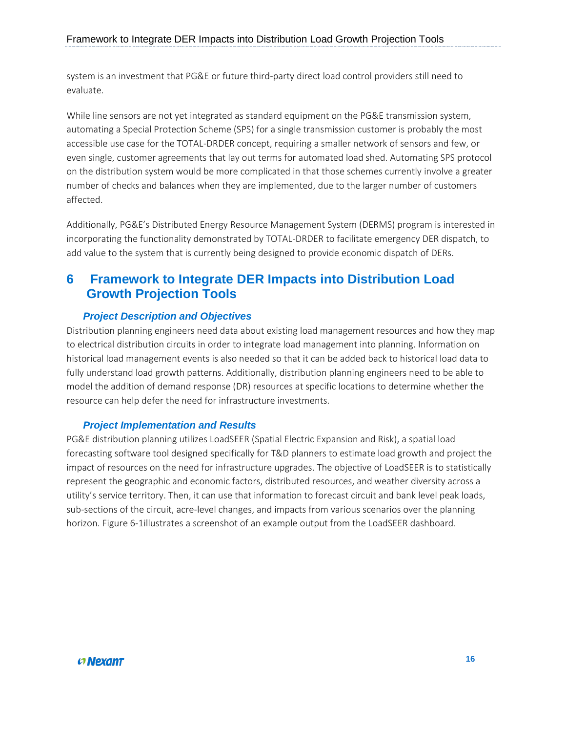system is an investment that PG&E or future third-party direct load control providers still need to evaluate.

While line sensors are not yet integrated as standard equipment on the PG&E transmission system, automating a Special Protection Scheme (SPS) for a single transmission customer is probably the most accessible use case for the TOTAL-DRDER concept, requiring a smaller network of sensors and few, or even single, customer agreements that lay out terms for automated load shed. Automating SPS protocol on the distribution system would be more complicated in that those schemes currently involve a greater number of checks and balances when they are implemented, due to the larger number of customers affected.

Additionally, PG&E's Distributed Energy Resource Management System (DERMS) program is interested in incorporating the functionality demonstrated by TOTAL-DRDER to facilitate emergency DER dispatch, to add value to the system that is currently being designed to provide economic dispatch of DERs.

## <span id="page-15-0"></span>**6 Framework to Integrate DER Impacts into Distribution Load Growth Projection Tools**

### *Project Description and Objectives*

Distribution planning engineers need data about existing load management resources and how they map to electrical distribution circuits in order to integrate load management into planning. Information on historical load management events is also needed so that it can be added back to historical load data to fully understand load growth patterns. Additionally, distribution planning engineers need to be able to model the addition of demand response (DR) resources at specific locations to determine whether the resource can help defer the need for infrastructure investments.

#### *Project Implementation and Results*

PG&E distribution planning utilizes LoadSEER (Spatial Electric Expansion and Risk), a spatial load forecasting software tool designed specifically for T&D planners to estimate load growth and project the impact of resources on the need for infrastructure upgrades. The objective of LoadSEER is to statistically represent the geographic and economic factors, distributed resources, and weather diversity across a utility's service territory. Then, it can use that information to forecast circuit and bank level peak loads, sub-sections of the circuit, acre-level changes, and impacts from various scenarios over the planning horizon. [Figure 6-1i](#page-16-1)llustrates a screenshot of an example output from the LoadSEER dashboard.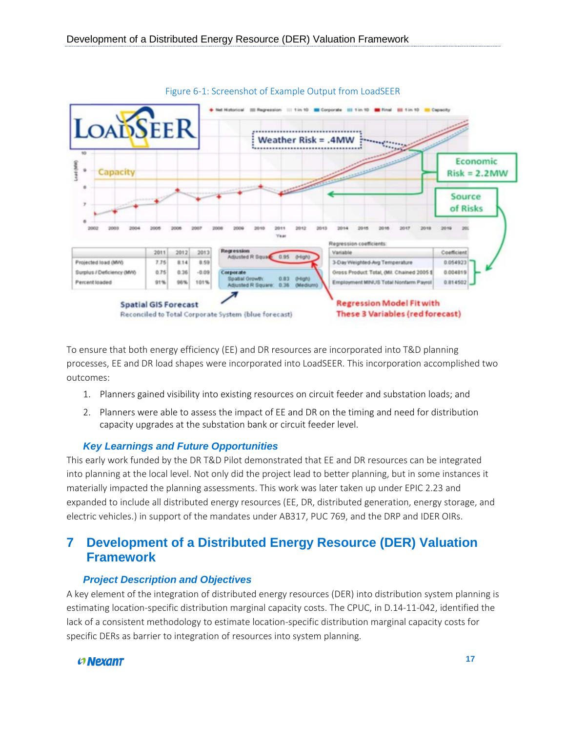<span id="page-16-1"></span>

To ensure that both energy efficiency (EE) and DR resources are incorporated into T&D planning processes, EE and DR load shapes were incorporated into LoadSEER. This incorporation accomplished two outcomes:

- 1. Planners gained visibility into existing resources on circuit feeder and substation loads; and
- 2. Planners were able to assess the impact of EE and DR on the timing and need for distribution capacity upgrades at the substation bank or circuit feeder level.

#### *Key Learnings and Future Opportunities*

This early work funded by the DR T&D Pilot demonstrated that EE and DR resources can be integrated into planning at the local level. Not only did the project lead to better planning, but in some instances it materially impacted the planning assessments. This work was later taken up under EPIC 2.23 and expanded to include all distributed energy resources (EE, DR, distributed generation, energy storage, and electric vehicles.) in support of the mandates under AB317, PUC 769, and the DRP and IDER OIRs.

## <span id="page-16-0"></span>**7 Development of a Distributed Energy Resource (DER) Valuation Framework**

#### *Project Description and Objectives*

A key element of the integration of distributed energy resources (DER) into distribution system planning is estimating location-specific distribution marginal capacity costs. The CPUC, in D.14-11-042, identified the lack of a consistent methodology to estimate location-specific distribution marginal capacity costs for specific DERs as barrier to integration of resources into system planning.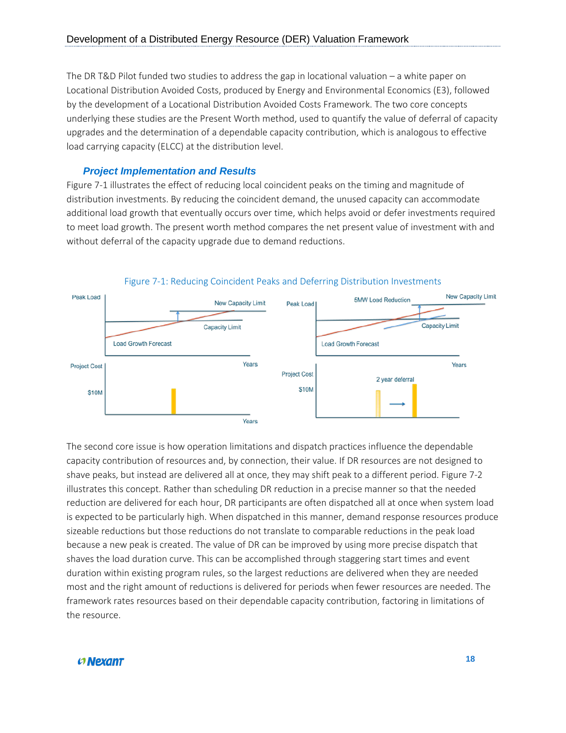The DR T&D Pilot funded two studies to address the gap in locational valuation – a white paper on Locational Distribution Avoided Costs, produced by Energy and Environmental Economics (E3), followed by the development of a Locational Distribution Avoided Costs Framework. The two core concepts underlying these studies are the Present Worth method, used to quantify the value of deferral of capacity upgrades and the determination of a dependable capacity contribution, which is analogous to effective load carrying capacity (ELCC) at the distribution level.

#### *Project Implementation and Results*

[Figure 7-1](#page-17-0) illustrates the effect of reducing local coincident peaks on the timing and magnitude of distribution investments. By reducing the coincident demand, the unused capacity can accommodate additional load growth that eventually occurs over time, which helps avoid or defer investments required to meet load growth. The present worth method compares the net present value of investment with and without deferral of the capacity upgrade due to demand reductions.

<span id="page-17-0"></span>

Figure 7-1: Reducing Coincident Peaks and Deferring Distribution Investments

The second core issue is how operation limitations and dispatch practices influence the dependable capacity contribution of resources and, by connection, their value. If DR resources are not designed to shave peaks, but instead are delivered all at once, they may shift peak to a different period[. Figure 7-2](#page-18-2) illustrates this concept. Rather than scheduling DR reduction in a precise manner so that the needed reduction are delivered for each hour, DR participants are often dispatched all at once when system load is expected to be particularly high. When dispatched in this manner, demand response resources produce sizeable reductions but those reductions do not translate to comparable reductions in the peak load because a new peak is created. The value of DR can be improved by using more precise dispatch that shaves the load duration curve. This can be accomplished through staggering start times and event duration within existing program rules, so the largest reductions are delivered when they are needed most and the right amount of reductions is delivered for periods when fewer resources are needed. The framework rates resources based on their dependable capacity contribution, factoring in limitations of the resource.

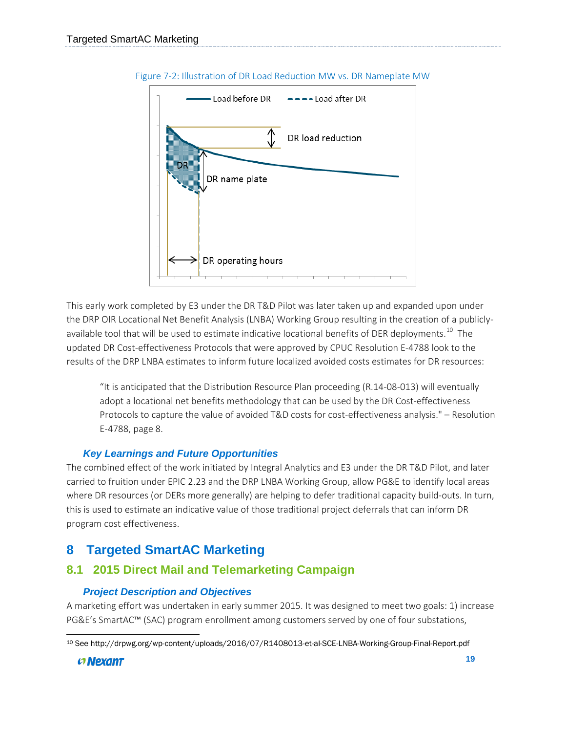<span id="page-18-2"></span>

Figure 7-2: Illustration of DR Load Reduction MW vs. DR Nameplate MW

This early work completed by E3 under the DR T&D Pilot was later taken up and expanded upon under the DRP OIR Locational Net Benefit Analysis (LNBA) Working Group resulting in the creation of a publicly-available tool that will be used to estimate indicative locational benefits of DER deployments.<sup>[10](#page-18-3)</sup> The updated DR Cost-effectiveness Protocols that were approved by CPUC Resolution E-4788 look to the results of the DRP LNBA estimates to inform future localized avoided costs estimates for DR resources:

"It is anticipated that the Distribution Resource Plan proceeding (R.14-08-013) will eventually adopt a locational net benefits methodology that can be used by the DR Cost-effectiveness Protocols to capture the value of avoided T&D costs for cost-effectiveness analysis." – Resolution E-4788, page 8.

#### *Key Learnings and Future Opportunities*

The combined effect of the work initiated by Integral Analytics and E3 under the DR T&D Pilot, and later carried to fruition under EPIC 2.23 and the DRP LNBA Working Group, allow PG&E to identify local areas where DR resources (or DERs more generally) are helping to defer traditional capacity build-outs. In turn, this is used to estimate an indicative value of those traditional project deferrals that can inform DR program cost effectiveness.

## <span id="page-18-0"></span>**8 Targeted SmartAC Marketing**

### <span id="page-18-1"></span>**8.1 2015 Direct Mail and Telemarketing Campaign**

#### *Project Description and Objectives*

A marketing effort was undertaken in early summer 2015. It was designed to meet two goals: 1) increase PG&E's SmartAC™ (SAC) program enrollment among customers served by one of four substations,

<span id="page-18-3"></span>l <sup>10</sup> See http://drpwg.org/wp-content/uploads/2016/07/R1408013-et-al-SCE-LNBA-Working-Group-Final-Report.pdf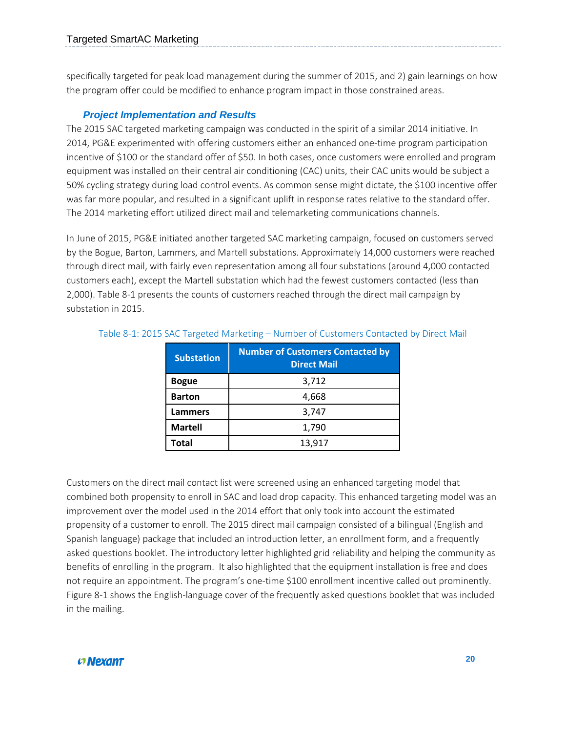specifically targeted for peak load management during the summer of 2015, and 2) gain learnings on how the program offer could be modified to enhance program impact in those constrained areas.

#### *Project Implementation and Results*

The 2015 SAC targeted marketing campaign was conducted in the spirit of a similar 2014 initiative. In 2014, PG&E experimented with offering customers either an enhanced one-time program participation incentive of \$100 or the standard offer of \$50. In both cases, once customers were enrolled and program equipment was installed on their central air conditioning (CAC) units, their CAC units would be subject a 50% cycling strategy during load control events. As common sense might dictate, the \$100 incentive offer was far more popular, and resulted in a significant uplift in response rates relative to the standard offer. The 2014 marketing effort utilized direct mail and telemarketing communications channels.

In June of 2015, PG&E initiated another targeted SAC marketing campaign, focused on customers served by the Bogue, Barton, Lammers, and Martell substations. Approximately 14,000 customers were reached through direct mail, with fairly even representation among all four substations (around 4,000 contacted customers each), except the Martell substation which had the fewest customers contacted (less than 2,000)[. Table 8-1](#page-19-0) presents the counts of customers reached through the direct mail campaign by substation in 2015.

| <b>Substation</b> | <b>Number of Customers Contacted by</b><br><b>Direct Mail</b> |
|-------------------|---------------------------------------------------------------|
| <b>Bogue</b>      | 3,712                                                         |
| <b>Barton</b>     | 4,668                                                         |
| <b>Lammers</b>    | 3,747                                                         |
| <b>Martell</b>    | 1,790                                                         |
| <b>Total</b>      | 13,917                                                        |

#### <span id="page-19-0"></span>Table 8-1: 2015 SAC Targeted Marketing – Number of Customers Contacted by Direct Mail

Customers on the direct mail contact list were screened using an enhanced targeting model that combined both propensity to enroll in SAC and load drop capacity. This enhanced targeting model was an improvement over the model used in the 2014 effort that only took into account the estimated propensity of a customer to enroll. The 2015 direct mail campaign consisted of a bilingual (English and Spanish language) package that included an introduction letter, an enrollment form, and a frequently asked questions booklet. The introductory letter highlighted grid reliability and helping the community as benefits of enrolling in the program. It also highlighted that the equipment installation is free and does not require an appointment. The program's one-time \$100 enrollment incentive called out prominently. [Figure 8-1](#page-20-0) shows the English-language cover of the frequently asked questions booklet that was included in the mailing.

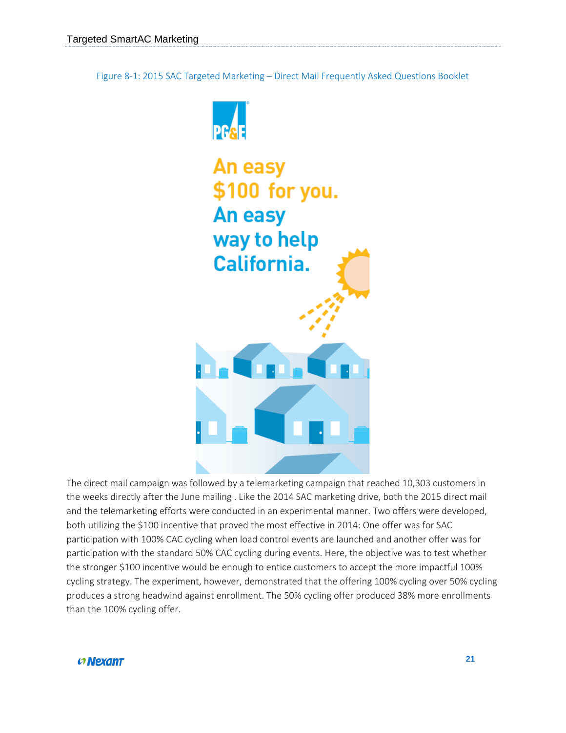<span id="page-20-0"></span>Figure 8-1: 2015 SAC Targeted Marketing – Direct Mail Frequently Asked Questions Booklet



The direct mail campaign was followed by a telemarketing campaign that reached 10,303 customers in the weeks directly after the June mailing . Like the 2014 SAC marketing drive, both the 2015 direct mail and the telemarketing efforts were conducted in an experimental manner. Two offers were developed, both utilizing the \$100 incentive that proved the most effective in 2014: One offer was for SAC participation with 100% CAC cycling when load control events are launched and another offer was for participation with the standard 50% CAC cycling during events. Here, the objective was to test whether the stronger \$100 incentive would be enough to entice customers to accept the more impactful 100% cycling strategy. The experiment, however, demonstrated that the offering 100% cycling over 50% cycling produces a strong headwind against enrollment. The 50% cycling offer produced 38% more enrollments than the 100% cycling offer.

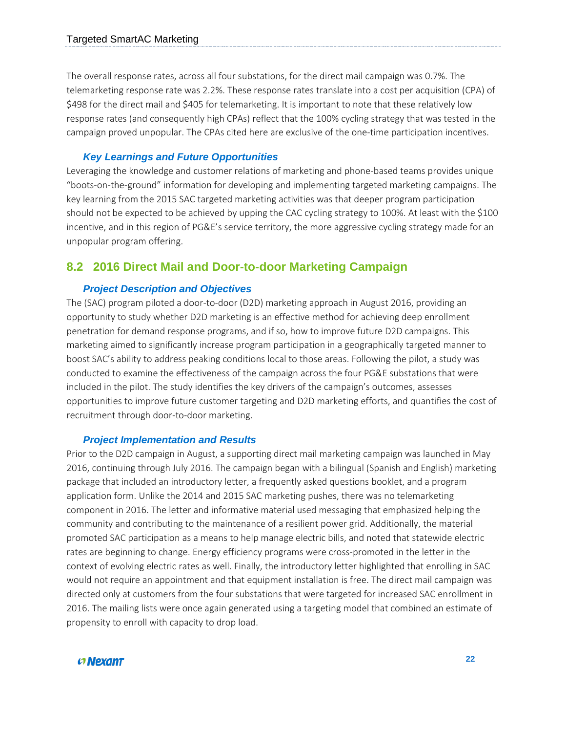The overall response rates, across all four substations, for the direct mail campaign was 0.7%. The telemarketing response rate was 2.2%. These response rates translate into a cost per acquisition (CPA) of \$498 for the direct mail and \$405 for telemarketing. It is important to note that these relatively low response rates (and consequently high CPAs) reflect that the 100% cycling strategy that was tested in the campaign proved unpopular. The CPAs cited here are exclusive of the one-time participation incentives.

#### *Key Learnings and Future Opportunities*

Leveraging the knowledge and customer relations of marketing and phone-based teams provides unique "boots-on-the-ground" information for developing and implementing targeted marketing campaigns. The key learning from the 2015 SAC targeted marketing activities was that deeper program participation should not be expected to be achieved by upping the CAC cycling strategy to 100%. At least with the \$100 incentive, and in this region of PG&E's service territory, the more aggressive cycling strategy made for an unpopular program offering.

#### <span id="page-21-0"></span>**8.2 2016 Direct Mail and Door-to-door Marketing Campaign**

#### *Project Description and Objectives*

The (SAC) program piloted a door-to-door (D2D) marketing approach in August 2016, providing an opportunity to study whether D2D marketing is an effective method for achieving deep enrollment penetration for demand response programs, and if so, how to improve future D2D campaigns. This marketing aimed to significantly increase program participation in a geographically targeted manner to boost SAC's ability to address peaking conditions local to those areas. Following the pilot, a study was conducted to examine the effectiveness of the campaign across the four PG&E substations that were included in the pilot. The study identifies the key drivers of the campaign's outcomes, assesses opportunities to improve future customer targeting and D2D marketing efforts, and quantifies the cost of recruitment through door-to-door marketing.

#### *Project Implementation and Results*

Prior to the D2D campaign in August, a supporting direct mail marketing campaign was launched in May 2016, continuing through July 2016. The campaign began with a bilingual (Spanish and English) marketing package that included an introductory letter, a frequently asked questions booklet, and a program application form. Unlike the 2014 and 2015 SAC marketing pushes, there was no telemarketing component in 2016. The letter and informative material used messaging that emphasized helping the community and contributing to the maintenance of a resilient power grid. Additionally, the material promoted SAC participation as a means to help manage electric bills, and noted that statewide electric rates are beginning to change. Energy efficiency programs were cross-promoted in the letter in the context of evolving electric rates as well. Finally, the introductory letter highlighted that enrolling in SAC would not require an appointment and that equipment installation is free. The direct mail campaign was directed only at customers from the four substations that were targeted for increased SAC enrollment in 2016. The mailing lists were once again generated using a targeting model that combined an estimate of propensity to enroll with capacity to drop load.

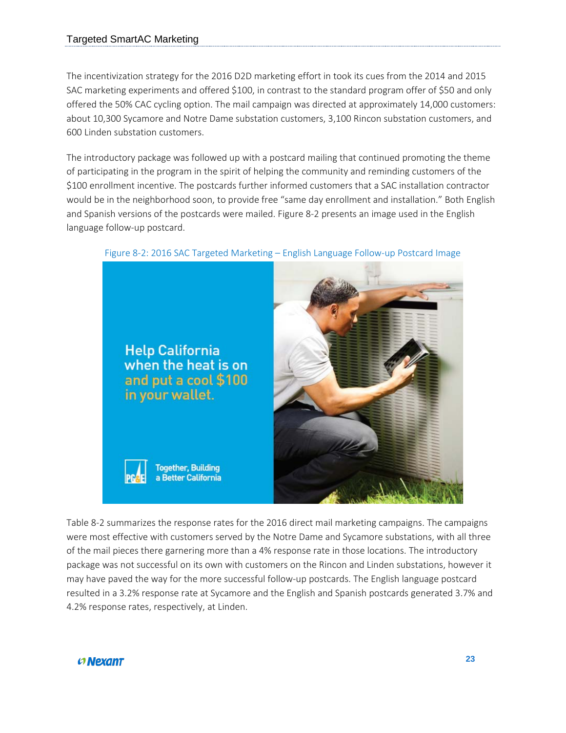The incentivization strategy for the 2016 D2D marketing effort in took its cues from the 2014 and 2015 SAC marketing experiments and offered \$100, in contrast to the standard program offer of \$50 and only offered the 50% CAC cycling option. The mail campaign was directed at approximately 14,000 customers: about 10,300 Sycamore and Notre Dame substation customers, 3,100 Rincon substation customers, and 600 Linden substation customers.

The introductory package was followed up with a postcard mailing that continued promoting the theme of participating in the program in the spirit of helping the community and reminding customers of the \$100 enrollment incentive. The postcards further informed customers that a SAC installation contractor would be in the neighborhood soon, to provide free "same day enrollment and installation." Both English and Spanish versions of the postcards were mailed. [Figure 8-2](#page-22-0) presents an image used in the English language follow-up postcard.



<span id="page-22-0"></span>Figure 8-2: 2016 SAC Targeted Marketing – English Language Follow-up Postcard Image

[Table 8-2](#page-23-0) summarizes the response rates for the 2016 direct mail marketing campaigns. The campaigns were most effective with customers served by the Notre Dame and Sycamore substations, with all three of the mail pieces there garnering more than a 4% response rate in those locations. The introductory package was not successful on its own with customers on the Rincon and Linden substations, however it may have paved the way for the more successful follow-up postcards. The English language postcard resulted in a 3.2% response rate at Sycamore and the English and Spanish postcards generated 3.7% and 4.2% response rates, respectively, at Linden.

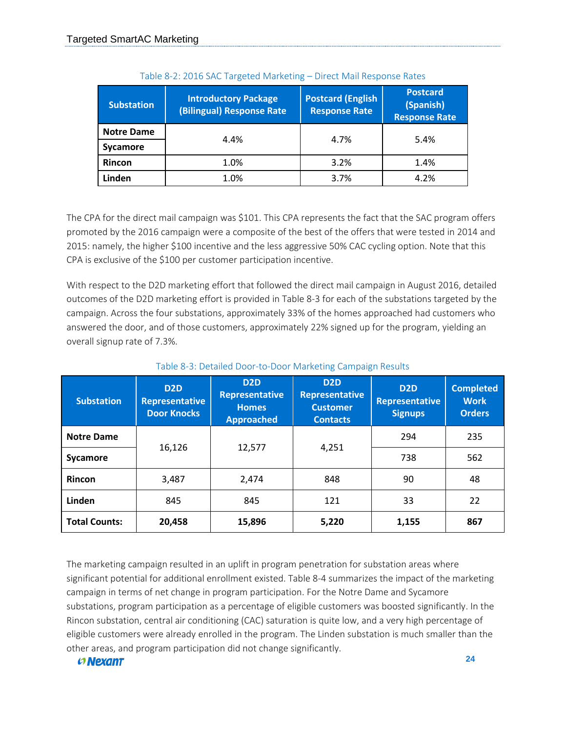<span id="page-23-0"></span>

| <b>Substation</b> | <b>Introductory Package</b><br>(Bilingual) Response Rate | <b>Postcard (English</b><br><b>Response Rate</b> | <b>Postcard</b><br>(Spanish)<br><b>Response Rate</b> |  |
|-------------------|----------------------------------------------------------|--------------------------------------------------|------------------------------------------------------|--|
| <b>Notre Dame</b> | 4.4%                                                     | 4.7%                                             | 5.4%                                                 |  |
| <b>Sycamore</b>   |                                                          |                                                  |                                                      |  |
| <b>Rincon</b>     | 1.0%                                                     | 3.2%                                             | 1.4%                                                 |  |
| Linden            | 1.0%                                                     | 3.7%                                             | 4.2%                                                 |  |

The CPA for the direct mail campaign was \$101. This CPA represents the fact that the SAC program offers promoted by the 2016 campaign were a composite of the best of the offers that were tested in 2014 and 2015: namely, the higher \$100 incentive and the less aggressive 50% CAC cycling option. Note that this CPA is exclusive of the \$100 per customer participation incentive.

With respect to the D2D marketing effort that followed the direct mail campaign in August 2016, detailed outcomes of the D2D marketing effort is provided in [Table 8-3](#page-23-1) for each of the substations targeted by the campaign. Across the four substations, approximately 33% of the homes approached had customers who answered the door, and of those customers, approximately 22% signed up for the program, yielding an overall signup rate of 7.3%.

<span id="page-23-1"></span>

| <b>Substation</b>    | D <sub>2D</sub><br><b>Representative</b><br><b>Door Knocks</b> | D <sub>2D</sub><br><b>Representative</b><br><b>Homes</b><br><b>Approached</b> | D <sub>2D</sub><br><b>Representative</b><br><b>Customer</b><br><b>Contacts</b> | D <sub>2D</sub><br>Representative<br><b>Signups</b> | <b>Completed</b><br><b>Work</b><br><b>Orders</b> |
|----------------------|----------------------------------------------------------------|-------------------------------------------------------------------------------|--------------------------------------------------------------------------------|-----------------------------------------------------|--------------------------------------------------|
| <b>Notre Dame</b>    |                                                                |                                                                               |                                                                                | 294                                                 | 235                                              |
| <b>Sycamore</b>      | 16,126                                                         | 12,577                                                                        | 4,251                                                                          | 738                                                 | 562                                              |
| Rincon               | 3,487                                                          | 2,474                                                                         | 848                                                                            | 90                                                  | 48                                               |
| Linden               | 845                                                            | 845                                                                           | 121                                                                            | 33                                                  | 22                                               |
| <b>Total Counts:</b> | 20,458                                                         | 15,896                                                                        | 5,220                                                                          | 1,155                                               | 867                                              |

#### Table 8-3: Detailed Door-to-Door Marketing Campaign Results

The marketing campaign resulted in an uplift in program penetration for substation areas where significant potential for additional enrollment existed. [Table 8-4](#page-24-0) summarizes the impact of the marketing campaign in terms of net change in program participation. For the Notre Dame and Sycamore substations, program participation as a percentage of eligible customers was boosted significantly. In the Rincon substation, central air conditioning (CAC) saturation is quite low, and a very high percentage of eligible customers were already enrolled in the program. The Linden substation is much smaller than the other areas, and program participation did not change significantly.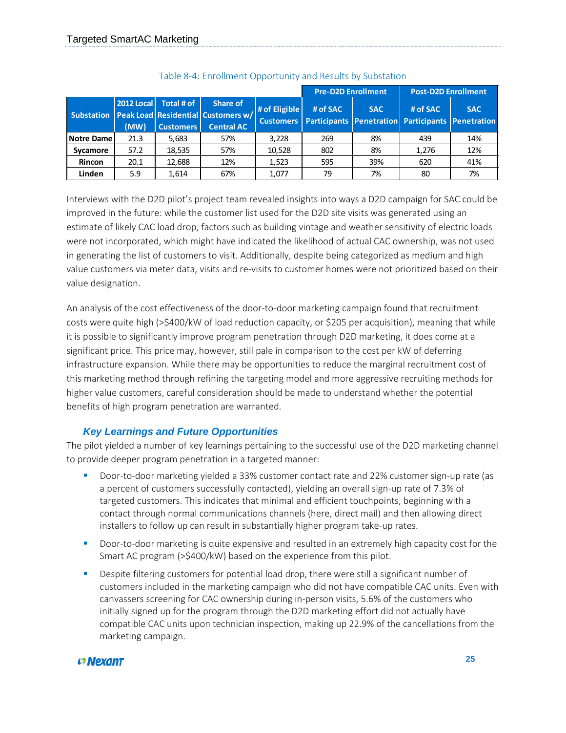<span id="page-24-0"></span>

|                   |                           |                                |                                                                           |                                   | <b>Pre-D2D Enrollment</b> |            | <b>Post-D2D Enrollment</b>                                    |            |
|-------------------|---------------------------|--------------------------------|---------------------------------------------------------------------------|-----------------------------------|---------------------------|------------|---------------------------------------------------------------|------------|
| <b>Substation</b> | <b>2012 Local</b><br>(MW) | Total # of<br><b>Customers</b> | Share of<br>Peak Load   Residential   Customers w/  <br><b>Central AC</b> | # of Eligible<br><b>Customers</b> | # of SAC                  | <b>SAC</b> | # of SAC<br>Participants Penetration Participants Penetration | <b>SAC</b> |
| <b>Notre Dame</b> | 21.3                      | 5,683                          | 57%                                                                       | 3.228                             | 269                       | 8%         | 439                                                           | 14%        |
| Sycamore          | 57.2                      | 18,535                         | 57%                                                                       | 10,528                            | 802                       | 8%         | 1,276                                                         | 12%        |
| <b>Rincon</b>     | 20.1                      | 12,688                         | 12%                                                                       | 1.523                             | 595                       | 39%        | 620                                                           | 41%        |
| Linden            | 5.9                       | 1,614                          | 67%                                                                       | 1,077                             | 79                        | 7%         | 80                                                            | 7%         |

Interviews with the D2D pilot's project team revealed insights into ways a D2D campaign for SAC could be improved in the future: while the customer list used for the D2D site visits was generated using an estimate of likely CAC load drop, factors such as building vintage and weather sensitivity of electric loads were not incorporated, which might have indicated the likelihood of actual CAC ownership, was not used in generating the list of customers to visit. Additionally, despite being categorized as medium and high value customers via meter data, visits and re-visits to customer homes were not prioritized based on their value designation.

An analysis of the cost effectiveness of the door-to-door marketing campaign found that recruitment costs were quite high (>\$400/kW of load reduction capacity, or \$205 per acquisition), meaning that while it is possible to significantly improve program penetration through D2D marketing, it does come at a significant price. This price may, however, still pale in comparison to the cost per kW of deferring infrastructure expansion. While there may be opportunities to reduce the marginal recruitment cost of this marketing method through refining the targeting model and more aggressive recruiting methods for higher value customers, careful consideration should be made to understand whether the potential benefits of high program penetration are warranted.

#### *Key Learnings and Future Opportunities*

The pilot yielded a number of key learnings pertaining to the successful use of the D2D marketing channel to provide deeper program penetration in a targeted manner:

- Door-to-door marketing yielded a 33% customer contact rate and 22% customer sign-up rate (as a percent of customers successfully contacted), yielding an overall sign-up rate of 7.3% of targeted customers. This indicates that minimal and efficient touchpoints, beginning with a contact through normal communications channels (here, direct mail) and then allowing direct installers to follow up can result in substantially higher program take-up rates.
- **Door-to-door marketing is quite expensive and resulted in an extremely high capacity cost for the** Smart AC program (>\$400/kW) based on the experience from this pilot.
- Despite filtering customers for potential load drop, there were still a significant number of customers included in the marketing campaign who did not have compatible CAC units. Even with canvassers screening for CAC ownership during in-person visits, 5.6% of the customers who initially signed up for the program through the D2D marketing effort did not actually have compatible CAC units upon technician inspection, making up 22.9% of the cancellations from the marketing campaign.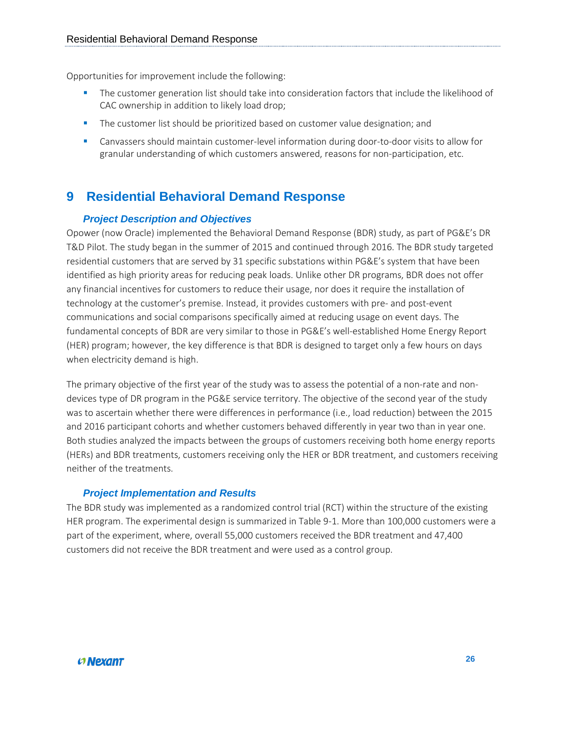Opportunities for improvement include the following:

- The customer generation list should take into consideration factors that include the likelihood of CAC ownership in addition to likely load drop;
- **The customer list should be prioritized based on customer value designation; and**
- Canvassers should maintain customer-level information during door-to-door visits to allow for granular understanding of which customers answered, reasons for non-participation, etc.

## <span id="page-25-0"></span>**9 Residential Behavioral Demand Response**

#### *Project Description and Objectives*

Opower (now Oracle) implemented the Behavioral Demand Response (BDR) study, as part of PG&E's DR T&D Pilot. The study began in the summer of 2015 and continued through 2016. The BDR study targeted residential customers that are served by 31 specific substations within PG&E's system that have been identified as high priority areas for reducing peak loads. Unlike other DR programs, BDR does not offer any financial incentives for customers to reduce their usage, nor does it require the installation of technology at the customer's premise. Instead, it provides customers with pre- and post-event communications and social comparisons specifically aimed at reducing usage on event days. The fundamental concepts of BDR are very similar to those in PG&E's well-established Home Energy Report (HER) program; however, the key difference is that BDR is designed to target only a few hours on days when electricity demand is high.

The primary objective of the first year of the study was to assess the potential of a non-rate and nondevices type of DR program in the PG&E service territory. The objective of the second year of the study was to ascertain whether there were differences in performance (i.e., load reduction) between the 2015 and 2016 participant cohorts and whether customers behaved differently in year two than in year one. Both studies analyzed the impacts between the groups of customers receiving both home energy reports (HERs) and BDR treatments, customers receiving only the HER or BDR treatment, and customers receiving neither of the treatments.

#### *Project Implementation and Results*

The BDR study was implemented as a randomized control trial (RCT) within the structure of the existing HER program. The experimental design is summarized in [Table 9-1.](#page-26-0) More than 100,000 customers were a part of the experiment, where, overall 55,000 customers received the BDR treatment and 47,400 customers did not receive the BDR treatment and were used as a control group.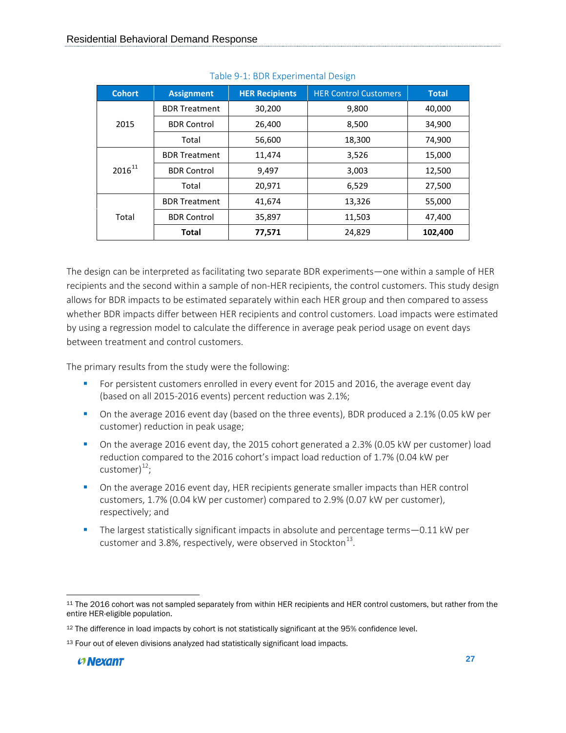<span id="page-26-0"></span>

| <b>Cohort</b> | <b>Assignment</b>    | <b>HER Recipients</b> | <b>HER Control Customers</b> | <b>Total</b> |
|---------------|----------------------|-----------------------|------------------------------|--------------|
|               | <b>BDR Treatment</b> | 30,200                | 9,800                        | 40,000       |
| 2015          | <b>BDR Control</b>   | 26,400                | 8,500                        | 34,900       |
|               | Total                | 56,600                | 18,300                       | 74,900       |
|               | <b>BDR Treatment</b> | 11,474                | 3,526                        | 15,000       |
| $2016^{11}$   | <b>BDR Control</b>   | 9,497                 | 3,003                        | 12,500       |
|               | Total                | 20,971                | 6,529                        | 27,500       |
|               | <b>BDR Treatment</b> | 41,674                | 13,326                       | 55,000       |
| Total         | <b>BDR Control</b>   | 35,897                | 11,503                       | 47,400       |
|               | <b>Total</b>         | 77,571                | 24,829                       | 102,400      |

#### Table 9-1: BDR Experimental Design

The design can be interpreted as facilitating two separate BDR experiments—one within a sample of HER recipients and the second within a sample of non-HER recipients, the control customers. This study design allows for BDR impacts to be estimated separately within each HER group and then compared to assess whether BDR impacts differ between HER recipients and control customers. Load impacts were estimated by using a regression model to calculate the difference in average peak period usage on event days between treatment and control customers.

The primary results from the study were the following:

- For persistent customers enrolled in every event for 2015 and 2016, the average event day (based on all 2015-2016 events) percent reduction was 2.1%;
- On the average 2016 event day (based on the three events), BDR produced a 2.1% (0.05 kW per customer) reduction in peak usage;
- On the average 2016 event day, the 2015 cohort generated a 2.3% (0.05 kW per customer) load reduction compared to the 2016 cohort's impact load reduction of 1.7% (0.04 kW per customer $)^{12}$ ;
- On the average 2016 event day, HER recipients generate smaller impacts than HER control customers, 1.7% (0.04 kW per customer) compared to 2.9% (0.07 kW per customer), respectively; and
- The largest statistically significant impacts in absolute and percentage terms 0.11 kW per customer and 3.8%, respectively, were observed in Stockton $^{13}$ .

<span id="page-26-1"></span> $\overline{\phantom{a}}$ <sup>11</sup> The 2016 cohort was not sampled separately from within HER recipients and HER control customers, but rather from the entire HER-eligible population.

<span id="page-26-2"></span><sup>12</sup> The difference in load impacts by cohort is not statistically significant at the 95% confidence level.

<span id="page-26-3"></span><sup>13</sup> Four out of eleven divisions analyzed had statistically significant load impacts.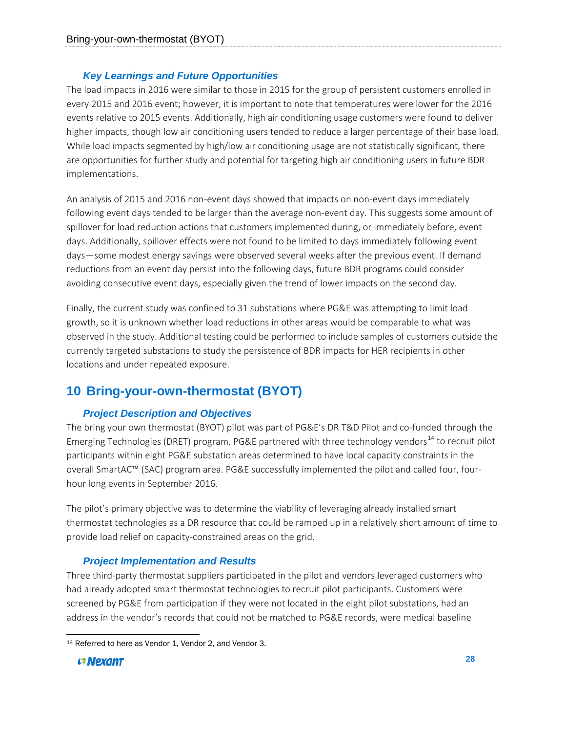#### *Key Learnings and Future Opportunities*

The load impacts in 2016 were similar to those in 2015 for the group of persistent customers enrolled in every 2015 and 2016 event; however, it is important to note that temperatures were lower for the 2016 events relative to 2015 events. Additionally, high air conditioning usage customers were found to deliver higher impacts, though low air conditioning users tended to reduce a larger percentage of their base load. While load impacts segmented by high/low air conditioning usage are not statistically significant, there are opportunities for further study and potential for targeting high air conditioning users in future BDR implementations.

An analysis of 2015 and 2016 non-event days showed that impacts on non-event days immediately following event days tended to be larger than the average non-event day. This suggests some amount of spillover for load reduction actions that customers implemented during, or immediately before, event days. Additionally, spillover effects were not found to be limited to days immediately following event days—some modest energy savings were observed several weeks after the previous event. If demand reductions from an event day persist into the following days, future BDR programs could consider avoiding consecutive event days, especially given the trend of lower impacts on the second day.

Finally, the current study was confined to 31 substations where PG&E was attempting to limit load growth, so it is unknown whether load reductions in other areas would be comparable to what was observed in the study. Additional testing could be performed to include samples of customers outside the currently targeted substations to study the persistence of BDR impacts for HER recipients in other locations and under repeated exposure.

## <span id="page-27-0"></span>**10 Bring-your-own-thermostat (BYOT)**

#### *Project Description and Objectives*

The bring your own thermostat (BYOT) pilot was part of PG&E's DR T&D Pilot and co-funded through the Emerging Technologies (DRET) program. PG&E partnered with three technology vendors<sup>[14](#page-27-1)</sup> to recruit pilot participants within eight PG&E substation areas determined to have local capacity constraints in the overall SmartAC™ (SAC) program area. PG&E successfully implemented the pilot and called four, fourhour long events in September 2016.

The pilot's primary objective was to determine the viability of leveraging already installed smart thermostat technologies as a DR resource that could be ramped up in a relatively short amount of time to provide load relief on capacity-constrained areas on the grid.

#### *Project Implementation and Results*

Three third-party thermostat suppliers participated in the pilot and vendors leveraged customers who had already adopted smart thermostat technologies to recruit pilot participants. Customers were screened by PG&E from participation if they were not located in the eight pilot substations, had an address in the vendor's records that could not be matched to PG&E records, were medical baseline

<span id="page-27-1"></span>l <sup>14</sup> Referred to here as Vendor 1, Vendor 2, and Vendor 3.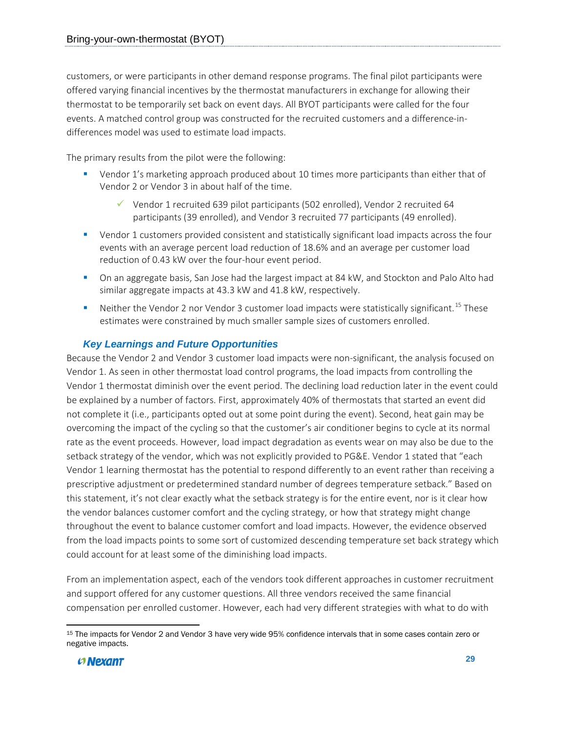customers, or were participants in other demand response programs. The final pilot participants were offered varying financial incentives by the thermostat manufacturers in exchange for allowing their thermostat to be temporarily set back on event days. All BYOT participants were called for the four events. A matched control group was constructed for the recruited customers and a difference-indifferences model was used to estimate load impacts.

The primary results from the pilot were the following:

- Vendor 1's marketing approach produced about 10 times more participants than either that of Vendor 2 or Vendor 3 in about half of the time.
	- Vendor 1 recruited 639 pilot participants (502 enrolled), Vendor 2 recruited 64 participants (39 enrolled), and Vendor 3 recruited 77 participants (49 enrolled).
- Vendor 1 customers provided consistent and statistically significant load impacts across the four events with an average percent load reduction of 18.6% and an average per customer load reduction of 0.43 kW over the four-hour event period.
- On an aggregate basis, San Jose had the largest impact at 84 kW, and Stockton and Palo Alto had similar aggregate impacts at 43.3 kW and 41.8 kW, respectively.
- $\blacksquare$  Neither the Vendor 2 nor Vendor 3 customer load impacts were statistically significant.<sup>[15](#page-28-0)</sup> These estimates were constrained by much smaller sample sizes of customers enrolled.

### *Key Learnings and Future Opportunities*

Because the Vendor 2 and Vendor 3 customer load impacts were non-significant, the analysis focused on Vendor 1. As seen in other thermostat load control programs, the load impacts from controlling the Vendor 1 thermostat diminish over the event period. The declining load reduction later in the event could be explained by a number of factors. First, approximately 40% of thermostats that started an event did not complete it (i.e., participants opted out at some point during the event). Second, heat gain may be overcoming the impact of the cycling so that the customer's air conditioner begins to cycle at its normal rate as the event proceeds. However, load impact degradation as events wear on may also be due to the setback strategy of the vendor, which was not explicitly provided to PG&E. Vendor 1 stated that "each Vendor 1 learning thermostat has the potential to respond differently to an event rather than receiving a prescriptive adjustment or predetermined standard number of degrees temperature setback." Based on this statement, it's not clear exactly what the setback strategy is for the entire event, nor is it clear how the vendor balances customer comfort and the cycling strategy, or how that strategy might change throughout the event to balance customer comfort and load impacts. However, the evidence observed from the load impacts points to some sort of customized descending temperature set back strategy which could account for at least some of the diminishing load impacts.

From an implementation aspect, each of the vendors took different approaches in customer recruitment and support offered for any customer questions. All three vendors received the same financial compensation per enrolled customer. However, each had very different strategies with what to do with

<span id="page-28-0"></span>l <sup>15</sup> The impacts for Vendor 2 and Vendor 3 have very wide 95% confidence intervals that in some cases contain zero or negative impacts.

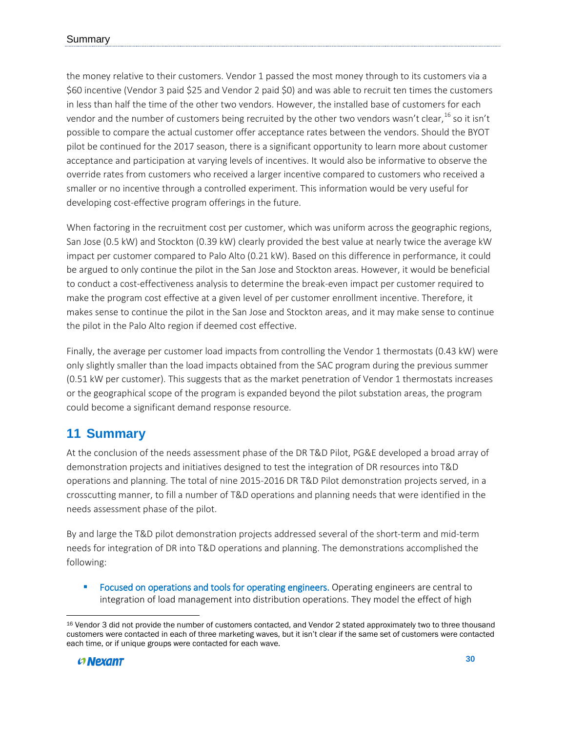the money relative to their customers. Vendor 1 passed the most money through to its customers via a \$60 incentive (Vendor 3 paid \$25 and Vendor 2 paid \$0) and was able to recruit ten times the customers in less than half the time of the other two vendors. However, the installed base of customers for each vendor and the number of customers being recruited by the other two vendors wasn't clear,  $^{16}$  $^{16}$  $^{16}$  so it isn't possible to compare the actual customer offer acceptance rates between the vendors. Should the BYOT pilot be continued for the 2017 season, there is a significant opportunity to learn more about customer acceptance and participation at varying levels of incentives. It would also be informative to observe the override rates from customers who received a larger incentive compared to customers who received a smaller or no incentive through a controlled experiment. This information would be very useful for developing cost-effective program offerings in the future.

When factoring in the recruitment cost per customer, which was uniform across the geographic regions, San Jose (0.5 kW) and Stockton (0.39 kW) clearly provided the best value at nearly twice the average kW impact per customer compared to Palo Alto (0.21 kW). Based on this difference in performance, it could be argued to only continue the pilot in the San Jose and Stockton areas. However, it would be beneficial to conduct a cost-effectiveness analysis to determine the break-even impact per customer required to make the program cost effective at a given level of per customer enrollment incentive. Therefore, it makes sense to continue the pilot in the San Jose and Stockton areas, and it may make sense to continue the pilot in the Palo Alto region if deemed cost effective.

Finally, the average per customer load impacts from controlling the Vendor 1 thermostats (0.43 kW) were only slightly smaller than the load impacts obtained from the SAC program during the previous summer (0.51 kW per customer). This suggests that as the market penetration of Vendor 1 thermostats increases or the geographical scope of the program is expanded beyond the pilot substation areas, the program could become a significant demand response resource.

## <span id="page-29-0"></span>**11 Summary**

At the conclusion of the needs assessment phase of the DR T&D Pilot, PG&E developed a broad array of demonstration projects and initiatives designed to test the integration of DR resources into T&D operations and planning. The total of nine 2015-2016 DR T&D Pilot demonstration projects served, in a crosscutting manner, to fill a number of T&D operations and planning needs that were identified in the needs assessment phase of the pilot.

By and large the T&D pilot demonstration projects addressed several of the short-term and mid-term needs for integration of DR into T&D operations and planning. The demonstrations accomplished the following:

**FICULTS:** Focused on operations and tools for operating engineers. Operating engineers are central to integration of load management into distribution operations. They model the effect of high

<span id="page-29-1"></span> $\overline{\phantom{a}}$ <sup>16</sup> Vendor 3 did not provide the number of customers contacted, and Vendor 2 stated approximately two to three thousand customers were contacted in each of three marketing waves, but it isn't clear if the same set of customers were contacted each time, or if unique groups were contacted for each wave.

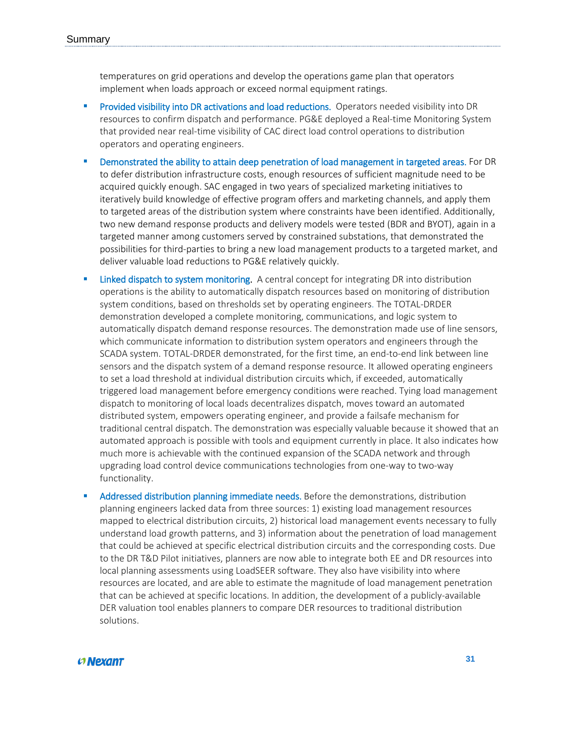temperatures on grid operations and develop the operations game plan that operators implement when loads approach or exceed normal equipment ratings.

- **Provided visibility into DR activations and load reductions.** Operators needed visibility into DR resources to confirm dispatch and performance. PG&E deployed a Real-time Monitoring System that provided near real-time visibility of CAC direct load control operations to distribution operators and operating engineers.
- Demonstrated the ability to attain deep penetration of load management in targeted areas. For DR to defer distribution infrastructure costs, enough resources of sufficient magnitude need to be acquired quickly enough. SAC engaged in two years of specialized marketing initiatives to iteratively build knowledge of effective program offers and marketing channels, and apply them to targeted areas of the distribution system where constraints have been identified. Additionally, two new demand response products and delivery models were tested (BDR and BYOT), again in a targeted manner among customers served by constrained substations, that demonstrated the possibilities for third-parties to bring a new load management products to a targeted market, and deliver valuable load reductions to PG&E relatively quickly.
- Linked dispatch to system monitoring. A central concept for integrating DR into distribution operations is the ability to automatically dispatch resources based on monitoring of distribution system conditions, based on thresholds set by operating engineers. The TOTAL-DRDER demonstration developed a complete monitoring, communications, and logic system to automatically dispatch demand response resources. The demonstration made use of line sensors, which communicate information to distribution system operators and engineers through the SCADA system. TOTAL-DRDER demonstrated, for the first time, an end-to-end link between line sensors and the dispatch system of a demand response resource. It allowed operating engineers to set a load threshold at individual distribution circuits which, if exceeded, automatically triggered load management before emergency conditions were reached. Tying load management dispatch to monitoring of local loads decentralizes dispatch, moves toward an automated distributed system, empowers operating engineer, and provide a failsafe mechanism for traditional central dispatch. The demonstration was especially valuable because it showed that an automated approach is possible with tools and equipment currently in place. It also indicates how much more is achievable with the continued expansion of the SCADA network and through upgrading load control device communications technologies from one-way to two-way functionality.
- Addressed distribution planning immediate needs. Before the demonstrations, distribution planning engineers lacked data from three sources: 1) existing load management resources mapped to electrical distribution circuits, 2) historical load management events necessary to fully understand load growth patterns, and 3) information about the penetration of load management that could be achieved at specific electrical distribution circuits and the corresponding costs. Due to the DR T&D Pilot initiatives, planners are now able to integrate both EE and DR resources into local planning assessments using LoadSEER software. They also have visibility into where resources are located, and are able to estimate the magnitude of load management penetration that can be achieved at specific locations. In addition, the development of a publicly-available DER valuation tool enables planners to compare DER resources to traditional distribution solutions.